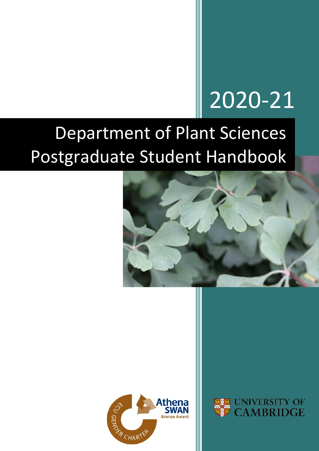# 2020-21

## Department of Plant Sciences Postgraduate Student Handbook





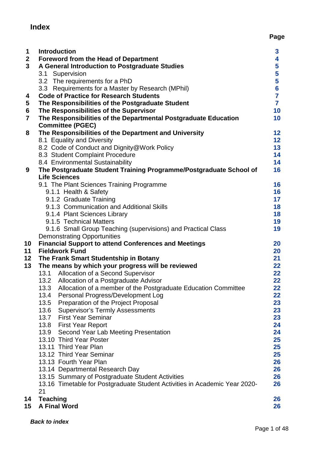## <span id="page-1-0"></span>**Index**

| $\mathbf 1$             | <b>Introduction</b>                                                                        | $\mathbf{3}$   |
|-------------------------|--------------------------------------------------------------------------------------------|----------------|
| $\mathbf{2}$            | <b>Foreword from the Head of Department</b>                                                | 4              |
| $\overline{\mathbf{3}}$ | A General Introduction to Postgraduate Studies                                             | 5              |
|                         | 3.1 Supervision                                                                            | 5              |
|                         | 3.2 The requirements for a PhD                                                             | 5              |
|                         | 3.3 Requirements for a Master by Research (MPhil)                                          | $6\phantom{a}$ |
| 4                       | <b>Code of Practice for Research Students</b>                                              | $\overline{7}$ |
| 5                       | The Responsibilities of the Postgraduate Student                                           | $\overline{7}$ |
| 6                       | The Responsibilities of the Supervisor                                                     | 10             |
| $\overline{\mathbf{r}}$ | The Responsibilities of the Departmental Postgraduate Education                            | 10             |
|                         | <b>Committee (PGEC)</b>                                                                    |                |
| 8                       | The Responsibilities of the Department and University                                      | 12             |
|                         | 8.1 Equality and Diversity                                                                 | 12             |
|                         | 8.2 Code of Conduct and Dignity@Work Policy                                                | 13             |
|                         | 8.3 Student Complaint Procedure                                                            | 14             |
|                         | 8.4 Environmental Sustainability                                                           | 14             |
| 9                       | The Postgraduate Student Training Programme/Postgraduate School of<br><b>Life Sciences</b> | 16             |
|                         | 9.1 The Plant Sciences Training Programme                                                  | 16             |
|                         | 9.1.1 Health & Safety                                                                      | 16             |
|                         | 9.1.2 Graduate Training                                                                    | 17             |
|                         | 9.1.3 Communication and Additional Skills                                                  | 18             |
|                         | 9.1.4 Plant Sciences Library                                                               | 18             |
|                         | 9.1.5 Technical Matters                                                                    | 19             |
|                         | 9.1.6 Small Group Teaching (supervisions) and Practical Class                              | 19             |
|                         | <b>Demonstrating Opportunities</b>                                                         |                |
| 10                      | <b>Financial Support to attend Conferences and Meetings</b>                                | 20             |
| 11                      | <b>Fieldwork Fund</b>                                                                      | 20             |
| 12                      | The Frank Smart Studentship in Botany                                                      | 21             |
| 13                      | The means by which your progress will be reviewed                                          | 22             |
|                         | 13.1 Allocation of a Second Supervisor                                                     | 22             |
|                         | 13.2<br>Allocation of a Postgraduate Advisor                                               | 22             |
|                         | 13.3<br>Allocation of a member of the Postgraduate Education Committee                     | 22             |
|                         | 13.4<br>Personal Progress/Development Log                                                  | 22             |
|                         | Preparation of the Project Proposal<br>13.5                                                | 23             |
|                         | 13.6<br><b>Supervisor's Termly Assessments</b>                                             | 23             |
|                         | 13.7 First Year Seminar                                                                    | 23             |
|                         | 13.8 First Year Report                                                                     | 24             |
|                         | 13.9<br>Second Year Lab Meeting Presentation                                               | 24             |
|                         | 13.10 Third Year Poster                                                                    | 25             |
|                         | 13.11 Third Year Plan                                                                      | 25             |
|                         | 13.12 Third Year Seminar                                                                   | 25             |
|                         | 13.13 Fourth Year Plan                                                                     | 26             |
|                         | 13.14 Departmental Research Day                                                            | 26             |
|                         | 13.15 Summary of Postgraduate Student Activities                                           | 26             |
|                         | 13.16 Timetable for Postgraduate Student Activities in Academic Year 2020-                 | 26             |
|                         | 21                                                                                         |                |
| 14                      | <b>Teaching</b>                                                                            | 26             |
| 15                      | <b>A Final Word</b>                                                                        | 26             |

**Page**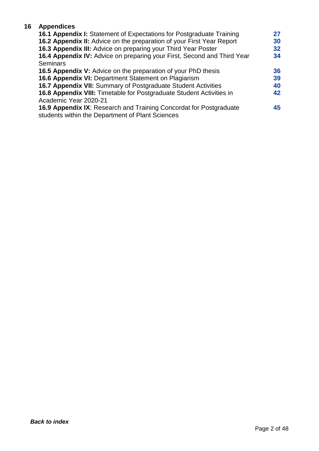#### **16 Appendices**

| <b>16.1 Appendix I:</b> Statement of Expectations for Postgraduate Training  | 27 |
|------------------------------------------------------------------------------|----|
| <b>16.2 Appendix II:</b> Advice on the preparation of your First Year Report | 30 |
| 16.3 Appendix III: Advice on preparing your Third Year Poster                | 32 |
| 16.4 Appendix IV: Advice on preparing your First, Second and Third Year      | 34 |
| <b>Seminars</b>                                                              |    |
| <b>16.5 Appendix V:</b> Advice on the preparation of your PhD thesis         | 36 |
| 16.6 Appendix VI: Department Statement on Plagiarism                         | 39 |
| 16.7 Appendix VII: Summary of Postgraduate Student Activities                | 40 |
| <b>16.8 Appendix VIII:</b> Timetable for Postgraduate Student Activities in  | 42 |
| Academic Year 2020-21                                                        |    |
| <b>16.9 Appendix IX: Research and Training Concordat for Postgraduate</b>    | 45 |
| students within the Department of Plant Sciences                             |    |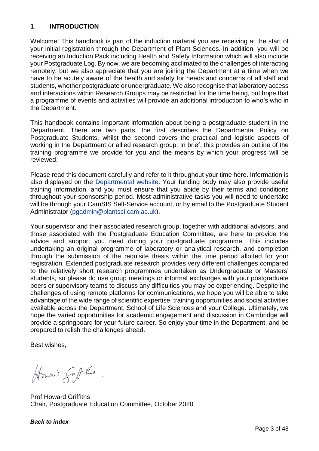#### <span id="page-3-0"></span>**1 INTRODUCTION**

Welcome! This handbook is part of the induction material you are receiving at the start of your initial registration through the Department of Plant Sciences. In addition, you will be receiving an Induction Pack including Health and Safety Information which will also include your Postgraduate Log. By now, we are becoming acclimated to the challenges of interacting remotely, but we also appreciate that you are joining the Department at a time when we have to be acutely aware of the health and safety for needs and concerns of all staff and students, whether postgraduate or undergraduate. We also recognise that laboratory access and interactions within Research Groups may be restricted for the time being, but hope that a programme of events and activities will provide an additional introduction to who's who in the Department.

This handbook contains important information about being a postgraduate student in the Department. There are two parts, the first describes the Departmental Policy on Postgraduate Students, whilst the second covers the practical and logistic aspects of working in the Department or allied research group. In brief, this provides an outline of the training programme we provide for you and the means by which your progress will be reviewed.

Please read this document carefully and refer to it throughout your time here. Information is also displayed on the [Departmental website.](https://www.plantsci.cam.ac.uk/grads/current) Your funding body may also provide useful training information, and you must ensure that you abide by their terms and conditions throughout your sponsorship period. Most administrative tasks you will need to undertake will be through your CamSIS Self-Service account, or by email to the Postgraduate Student Administrator [\(pgadmin@plantsci.cam.ac.uk\)](mailto:pgadmin@plantsci.cam.ac.uk).

Your supervisor and their associated research group, together with additional advisors, and those associated with the Postgraduate Education Committee, are here to provide the advice and support you need during your postgraduate programme. This includes undertaking an original programme of laboratory or analytical research, and completion through the submission of the requisite thesis within the time period allotted for your registration. Extended postgraduate research provides very different challenges compared to the relatively short research programmes undertaken as Undergraduate or Masters' students, so please do use group meetings or informal exchanges with your postgraduate peers or supervisory teams to discuss any difficulties you may be experiencing. Despite the challenges of using remote platforms for communications, we hope you will be able to take advantage of the wide range of scientific expertise, training opportunities and social activities available across the Department, School of Life Sciences and your College. Ultimately, we hope the varied opportunities for academic engagement and discussion in Cambridge will provide a springboard for your future career. So enjoy your time in the Department, and be prepared to relish the challenges ahead.

Best wishes,

Horn Supits

Prof Howard Griffiths Chair, Postgraduate Education Committee, October 2020

#### <span id="page-3-1"></span>*[Back to index](#page-1-0)*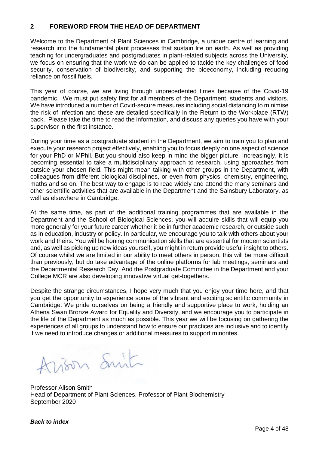#### **2 FOREWORD FROM THE HEAD OF DEPARTMENT**

Welcome to the Department of Plant Sciences in Cambridge, a unique centre of learning and research into the fundamental plant processes that sustain life on earth. As well as providing teaching for undergraduates and postgraduates in plant-related subjects across the University, we focus on ensuring that the work we do can be applied to tackle the key challenges of food security, conservation of biodiversity, and supporting the bioeconomy, including reducing reliance on fossil fuels.

This year of course, we are living through unprecedented times because of the Covid-19 pandemic. We must put safety first for all members of the Department, students and visitors. We have introduced a number of Covid-secure measures including social distancing to minimise the risk of infection and these are detailed specifically in the Return to the Workplace (RTW) pack. Please take the time to read the information, and discuss any queries you have with your supervisor in the first instance.

During your time as a postgraduate student in the Department, we aim to train you to plan and execute your research project effectively, enabling you to focus deeply on one aspect of science for your PhD or MPhil. But you should also keep in mind the bigger picture. Increasingly, it is becoming essential to take a multidisciplinary approach to research, using approaches from outside your chosen field. This might mean talking with other groups in the Department, with colleagues from different biological disciplines, or even from physics, chemistry, engineering, maths and so on. The best way to engage is to read widely and attend the many seminars and other scientific activities that are available in the Department and the Sainsbury Laboratory, as well as elsewhere in Cambridge.

At the same time, as part of the additional training programmes that are available in the Department and the School of Biological Sciences, you will acquire skills that will equip you more generally for your future career whether it be in further academic research, or outside such as in education, industry or policy. In particular, we encourage you to talk with others about your work and theirs. You will be honing communication skills that are essential for modern scientists and, as well as picking up new ideas yourself, you might in return provide useful insight to others. Of course whilst we are limited in our ability to meet others in person, this will be more difficult than previously, but do take advantage of the online platforms for lab meetings, seminars and the Departmental Research Day. And the Postgraduate Committee in the Department and your College MCR are also developing innovative virtual get-togethers.

Despite the strange circumstances, I hope very much that you enjoy your time here, and that you get the opportunity to experience some of the vibrant and exciting scientific community in Cambridge. We pride ourselves on being a friendly and supportive place to work, holding an Athena Swan Bronze Award for Equality and Diversity, and we encourage you to participate in the life of the Department as much as possible. This year we will be focusing on gathering the experiences of all groups to understand how to ensure our practices are inclusive and to identify if we need to introduce changes or additional measures to support minorites.

Arison Smit

Professor Alison Smith Head of Department of Plant Sciences, Professor of Plant Biochemistry September 2020

#### *[Back to index](#page-1-0)*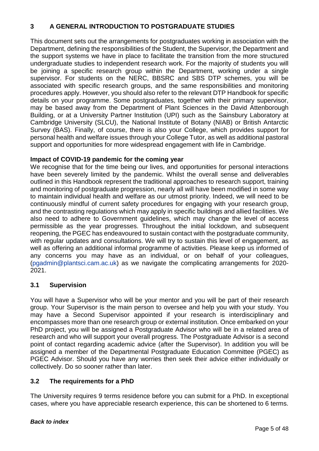#### <span id="page-5-0"></span>**3 A GENERAL INTRODUCTION TO POSTGRADUATE STUDIES**

This document sets out the arrangements for postgraduates working in association with the Department, defining the responsibilities of the Student, the Supervisor, the Department and the support systems we have in place to facilitate the transition from the more structured undergraduate studies to independent research work. For the majority of students you will be joining a specific research group within the Department, working under a single supervisor. For students on the NERC, BBSRC and SBS DTP schemes, you will be associated with specific research groups, and the same responsibilities and monitoring procedures apply. However, you should also refer to the relevant DTP Handbook for specific details on your programme. Some postgraduates, together with their primary supervisor, may be based away from the Department of Plant Sciences in the David Attenborough Building, or at a University Partner Institution (UPI) such as the Sainsbury Laboratory at Cambridge University (SLCU), the National Institute of Botany (NIAB) or British Antarctic Survey (BAS). Finally, of course, there is also your College, which provides support for personal health and welfare issues through your College Tutor, as well as additional pastoral support and opportunities for more widespread engagement with life in Cambridge.

#### **Impact of COVID-19 pandemic for the coming year**

We recognise that for the time being our lives, and opportunities for personal interactions have been severely limited by the pandemic. Whilst the overall sense and deliverables outlined in this Handbook represent the traditional approaches to research support, training and monitoring of postgraduate progression, nearly all will have been modified in some way to maintain individual health and welfare as our utmost priority. Indeed, we will need to be continuously mindful of current safety procedures for engaging with your research group, and the contrasting regulations which may apply in specific buildings and allied facilities. We also need to adhere to Government guidelines, which may change the level of access permissible as the year progresses. Throughout the initial lockdown, and subsequent reopening, the PGEC has endeavoured to sustain contact with the postgraduate community, with regular updates and consultations. We will try to sustain this level of engagement, as well as offering an additional informal programme of activities. Please keep us informed of any concerns you may have as an individual, or on behalf of your colleagues, [\(pgadmin@plantsci.cam.ac.uk\)](mailto:pgadmin@plantsci.cam.ac.uk) as we navigate the complicating arrangements for 2020- 2021.

#### <span id="page-5-1"></span>**3.1 Supervision**

You will have a Supervisor who will be your mentor and you will be part of their research group. Your Supervisor is the main person to oversee and help you with your study. You may have a Second Supervisor appointed if your research is interdisciplinary and encompasses more than one research group or external institution. Once embarked on your PhD project, you will be assigned a Postgraduate Advisor who will be in a related area of research and who will support your overall progress. The Postgraduate Advisor is a second point of contact regarding academic advice (after the Supervisor). In addition you will be assigned a member of the Departmental Postgraduate Education Committee (PGEC) as PGEC Advisor. Should you have any worries then seek their advice either individually or collectively. Do so sooner rather than later.

#### <span id="page-5-2"></span>**3.2 The requirements for a PhD**

The University requires 9 terms residence before you can submit for a PhD. In exceptional cases, where you have appreciable research experience, this can be shortened to 6 terms.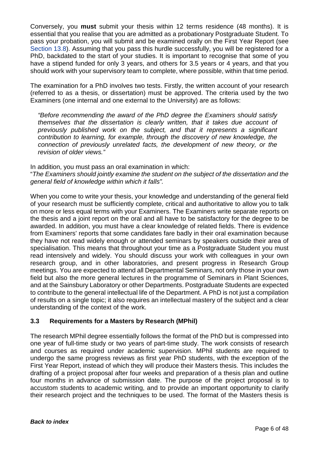Conversely, you **must** submit your thesis within 12 terms residence (48 months). It is essential that you realise that you are admitted as a probationary Postgraduate Student. To pass your probation, you will submit and be examined orally on the First Year Report (see [Section 13.8\)](#page-24-0). Assuming that you pass this hurdle successfully, you will be registered for a PhD, backdated to the start of your studies. It is important to recognise that some of you have a stipend funded for only 3 years, and others for 3.5 years or 4 years, and that you should work with your supervisory team to complete, where possible, within that time period.

The examination for a PhD involves two tests. Firstly, the written account of your research (referred to as a thesis, or dissertation) must be approved. The criteria used by the two Examiners (one internal and one external to the University) are as follows:

*"Before recommending the award of the PhD degree the Examiners should satisfy themselves that the dissertation is clearly written, that it takes due account of previously published work on the subject, and that it represents a significant contribution to learning, for example, through the discovery of new knowledge, the connection of previously unrelated facts, the development of new theory, or the revision of older views."* 

In addition, you must pass an oral examination in which:

"*The Examiners should jointly examine the student on the subject of the dissertation and the general field of knowledge within which it falls".*

When you come to write your thesis, your knowledge and understanding of the general field of your research must be sufficiently complete, critical and authoritative to allow you to talk on more or less equal terms with your Examiners. The Examiners write separate reports on the thesis and a joint report on the oral and all have to be satisfactory for the degree to be awarded. In addition, you must have a clear knowledge of related fields. There is evidence from Examiners' reports that some candidates fare badly in their oral examination because they have not read widely enough or attended seminars by speakers outside their area of specialisation. This means that throughout your time as a Postgraduate Student you must read intensively and widely. You should discuss your work with colleagues in your own research group, and in other laboratories, and present progress in Research Group meetings. You are expected to attend all Departmental Seminars, not only those in your own field but also the more general lectures in the programme of Seminars in Plant Sciences, and at the Sainsbury Laboratory or other Departments. Postgraduate Students are expected to contribute to the general intellectual life of the Department. A PhD is not just a compilation of results on a single topic; it also requires an intellectual mastery of the subject and a clear understanding of the context of the work.

#### <span id="page-6-0"></span>**3.3 Requirements for a Masters by Research (MPhil)**

The research MPhil degree essentially follows the format of the PhD but is compressed into one year of full-time study or two years of part-time study. The work consists of research and courses as required under academic supervision. MPhil students are required to undergo the same progress reviews as first year PhD students, with the exception of the First Year Report, instead of which they will produce their Masters thesis. This includes the drafting of a project proposal after four weeks and preparation of a thesis plan and outline four months in advance of submission date. The purpose of the project proposal is to accustom students to academic writing, and to provide an important opportunity to clarify their research project and the techniques to be used. The format of the Masters thesis is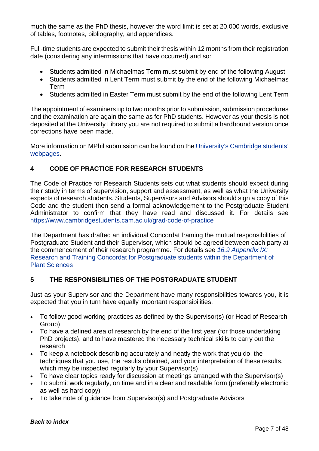much the same as the PhD thesis, however the word limit is set at 20,000 words, exclusive of tables, footnotes, bibliography, and appendices.

Full-time students are expected to submit their thesis within 12 months from their registration date (considering any intermissions that have occurred) and so:

- Students admitted in Michaelmas Term must submit by end of the following August
- Students admitted in Lent Term must submit by the end of the following Michaelmas Term
- Students admitted in Easter Term must submit by the end of the following Lent Term

The appointment of examiners up to two months prior to submission, submission procedures and the examination are again the same as for PhD students. However as your thesis is not deposited at the University Library you are not required to submit a hardbound version once corrections have been made.

More information on MPhil submission can be found on the University's [Cambridge students'](https://www.cambridgestudents.cam.ac.uk/your-course/examinations/graduate-exam-information/writing-submitting-and-examination)  [webpages.](https://www.cambridgestudents.cam.ac.uk/your-course/examinations/graduate-exam-information/writing-submitting-and-examination)

#### <span id="page-7-0"></span>**4 CODE OF PRACTICE FOR RESEARCH STUDENTS**

The Code of Practice for Research Students sets out what students should expect during their study in terms of supervision, support and assessment, as well as what the University expects of research students. Students, Supervisors and Advisors should sign a copy of this Code and the student then send a formal acknowledgement to the Postgraduate Student Administrator to confirm that they have read and discussed it. For details see <https://www.cambridgestudents.cam.ac.uk/grad-code-of-practice>

The Department has drafted an individual Concordat framing the mutual responsibilities of Postgraduate Student and their Supervisor, which should be agreed between each party at the commencement of their research programme. For details see *[16.9 Appendix IX:](#page-45-0)*  [Research and Training Concordat for Postgraduate students within the Department of](#page-45-0)  [Plant Sciences](#page-45-0)

#### <span id="page-7-1"></span>**5 THE RESPONSIBILITIES OF THE POSTGRADUATE STUDENT**

Just as your Supervisor and the Department have many responsibilities towards you, it is expected that you in turn have equally important responsibilities.

- To follow good working practices as defined by the Supervisor(s) (or Head of Research Group)
- To have a defined area of research by the end of the first year (for those undertaking PhD projects), and to have mastered the necessary technical skills to carry out the research
- To keep a notebook describing accurately and neatly the work that you do, the techniques that you use, the results obtained, and your interpretation of these results, which may be inspected regularly by your Supervisor(s)
- To have clear topics ready for discussion at meetings arranged with the Supervisor(s)
- To submit work regularly, on time and in a clear and readable form (preferably electronic as well as hard copy)
- To take note of guidance from Supervisor(s) and Postgraduate Advisors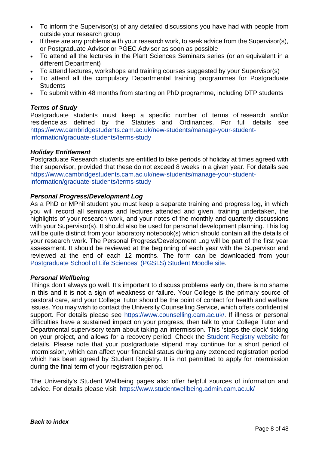- To inform the Supervisor(s) of any detailed discussions you have had with people from outside your research group
- If there are any problems with your research work, to seek advice from the Supervisor(s), or Postgraduate Advisor or PGEC Advisor as soon as possible
- To attend all the lectures in the Plant Sciences Seminars series (or an equivalent in a different Department)
- To attend lectures, workshops and training courses suggested by your Supervisor(s)
- To attend all the compulsory Departmental training programmes for Postgraduate **Students**
- To submit within 48 months from starting on PhD programme, including DTP students

#### *Terms of Study*

Postgraduate students must keep a specific number of terms of research and/or residence as defined by the Statutes and Ordinances. For full details see [https://www.cambridgestudents.cam.ac.uk/new-students/manage-your-student](https://www.cambridgestudents.cam.ac.uk/new-students/manage-your-student-information/graduate-students/terms-study)[information/graduate-students/terms-study](https://www.cambridgestudents.cam.ac.uk/new-students/manage-your-student-information/graduate-students/terms-study)

#### *Holiday Entitlement*

Postgraduate Research students are entitled to take periods of holiday at times agreed with their supervisor, provided that these do not exceed 8 weeks in a given year. For details see [https://www.cambridgestudents.cam.ac.uk/new-students/manage-your-student](https://www.cambridgestudents.cam.ac.uk/new-students/manage-your-student-information/graduate-students/terms-study)[information/graduate-students/terms-study](https://www.cambridgestudents.cam.ac.uk/new-students/manage-your-student-information/graduate-students/terms-study)

#### *Personal Progress/Development Log*

As a PhD or MPhil student you must keep a separate training and progress log, in which you will record all seminars and lectures attended and given, training undertaken, the highlights of your research work, and your notes of the monthly and quarterly discussions with your Supervisor(s). It should also be used for personal development planning. This log will be quite distinct from your laboratory notebook(s) which should contain all the details of your research work. The Personal Progress/Development Log will be part of the first year assessment. It should be reviewed at the beginning of each year with the Supervisor and reviewed at the end of each 12 months. The form can be downloaded from your [Postgraduate School of Life Sciences'](https://www.gradschl.lifesci.cam.ac.uk/) (PGSLS) Student Moodle site.

#### *Personal Wellbeing*

Things don't always go well. It's important to discuss problems early on, there is no shame in this and it is not a sign of weakness or failure. Your College is the primary source of pastoral care, and your College Tutor should be the point of contact for health and welfare issues. You may wish to contact the University Counselling Service, which offers confidential support. For details please see [https://www.counselling.cam.ac.uk/.](https://www.counselling.cam.ac.uk/) If illness or personal difficulties have a sustained impact on your progress, then talk to your College Tutor and Departmental supervisory team about taking an intermission. This 'stops the clock' ticking on your project, and allows for a recovery period. Check the [Student Registry website](https://www.cambridgestudents.cam.ac.uk/your-course/graduate-study/your-student-status/medical-intermission) for details. Please note that your postgraduate stipend may continue for a short period of intermission, which can affect your financial status during any extended registration period which has been agreed by Student Registry. It is not permitted to apply for intermission during the final term of your registration period.

The University's Student Wellbeing pages also offer helpful sources of information and advice. For details please visit:<https://www.studentwellbeing.admin.cam.ac.uk/>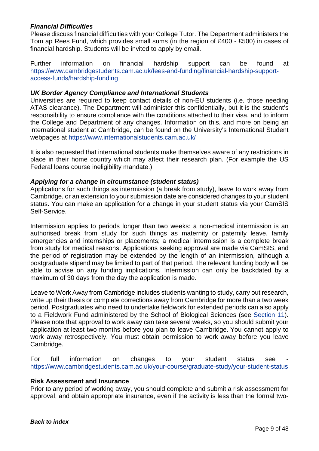#### *Financial Difficulties*

Please discuss financial difficulties with your College Tutor. The Department administers the Tom ap Rees Fund, which provides small sums (in the region of £400 - £500) in cases of financial hardship. Students will be invited to apply by email.

Further information on financial hardship support can be found at [https://www.cambridgestudents.cam.ac.uk/fees-and-funding/financial-hardship-support](https://www.cambridgestudents.cam.ac.uk/fees-and-funding/financial-hardship-support-access-funds/hardship-funding)[access-funds/hardship-funding](https://www.cambridgestudents.cam.ac.uk/fees-and-funding/financial-hardship-support-access-funds/hardship-funding)

#### *UK Border Agency Compliance and International Students*

Universities are required to keep contact details of non-EU students (i.e. those needing ATAS clearance). The Department will administer this confidentially, but it is the student's responsibility to ensure compliance with the conditions attached to their visa, and to inform the College and Department of any changes. Information on this, and more on being an international student at Cambridge, can be found on the University's International Student webpages at <https://www.internationalstudents.cam.ac.uk/>

It is also requested that international students make themselves aware of any restrictions in place in their home country which may affect their research plan. (For example the US Federal loans course ineligibility mandate.)

#### *Applying for a change in circumstance (student status)*

Applications for such things as intermission (a break from study), leave to work away from Cambridge, or an extension to your submission date are considered changes to your student status. You can make an application for a change in your student status via your CamSIS Self-Service.

Intermission applies to periods longer than two weeks: a non-medical intermission is an authorised break from study for such things as maternity or paternity leave, family emergencies and internships or placements; a medical intermission is a complete break from study for medical reasons. Applications seeking approval are made via CamSIS, and the period of registration may be extended by the length of an intermission, although a postgraduate stipend may be limited to part of that period. The relevant funding body will be able to advise on any funding implications. Intermission can only be backdated by a maximum of 30 days from the day the application is made.

Leave to Work Away from Cambridge includes students wanting to study, carry out research, write up their thesis or complete corrections away from Cambridge for more than a two week period. Postgraduates who need to undertake fieldwork for extended periods can also apply to a Fieldwork Fund administered by the School of Biological Sciences (see [Section 11\)](#page-20-1). Please note that approval to work away can take several weeks, so you should submit your application at least two months before you plan to leave Cambridge. You cannot apply to work away retrospectively. You must obtain permission to work away before you leave Cambridge.

For full information on changes to your student status see <https://www.cambridgestudents.cam.ac.uk/your-course/graduate-study/your-student-status>

#### **Risk Assessment and Insurance**

Prior to any period of working away, you should complete and submit a risk assessment for approval, and obtain appropriate insurance, even if the activity is less than the formal two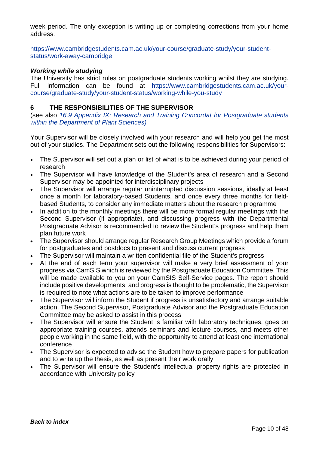week period. The only exception is writing up or completing corrections from your home address.

[https://www.cambridgestudents.cam.ac.uk/your-course/graduate-study/your-student](https://www.cambridgestudents.cam.ac.uk/your-course/graduate-study/your-student-status/work-away-cambridge)[status/work-away-cambridge](https://www.cambridgestudents.cam.ac.uk/your-course/graduate-study/your-student-status/work-away-cambridge)

#### *Working while studying*

The University has strict rules on postgraduate students working whilst they are studying. Full information can be found at [https://www.cambridgestudents.cam.ac.uk/your](https://www.cambridgestudents.cam.ac.uk/your-course/graduate-study/your-student-status/working-while-you-study)[course/graduate-study/your-student-status/working-while-you-study](https://www.cambridgestudents.cam.ac.uk/your-course/graduate-study/your-student-status/working-while-you-study)

#### <span id="page-10-0"></span>**6 THE RESPONSIBILITIES OF THE SUPERVISOR**

(see also *16.9 Appendix [IX: Research and Training Concordat for Postgraduate students](#page-45-0)  [within the Department of Plant Sciences\)](#page-45-0)*

Your Supervisor will be closely involved with your research and will help you get the most out of your studies. The Department sets out the following responsibilities for Supervisors:

- The Supervisor will set out a plan or list of what is to be achieved during your period of research
- The Supervisor will have knowledge of the Student's area of research and a Second Supervisor may be appointed for interdisciplinary projects
- The Supervisor will arrange regular uninterrupted discussion sessions, ideally at least once a month for laboratory-based Students, and once every three months for fieldbased Students, to consider any immediate matters about the research programme
- In addition to the monthly meetings there will be more formal regular meetings with the Second Supervisor (if appropriate), and discussing progress with the Departmental Postgraduate Advisor is recommended to review the Student's progress and help them plan future work
- The Supervisor should arrange regular Research Group Meetings which provide a forum for postgraduates and postdocs to present and discuss current progress
- The Supervisor will maintain a written confidential file of the Student's progress
- At the end of each term your supervisor will make a very brief assessment of your progress via CamSIS which is reviewed by the Postgraduate Education Committee. This will be made available to you on your CamSIS Self-Service pages. The report should include positive developments, and progress is thought to be problematic, the Supervisor is required to note what actions are to be taken to improve performance
- The Supervisor will inform the Student if progress is unsatisfactory and arrange suitable action. The Second Supervisor, Postgraduate Advisor and the Postgraduate Education Committee may be asked to assist in this process
- The Supervisor will ensure the Student is familiar with laboratory techniques, goes on appropriate training courses, attends seminars and lecture courses, and meets other people working in the same field, with the opportunity to attend at least one international conference
- The Supervisor is expected to advise the Student how to prepare papers for publication and to write up the thesis, as well as present their work orally
- The Supervisor will ensure the Student's intellectual property rights are protected in accordance with University policy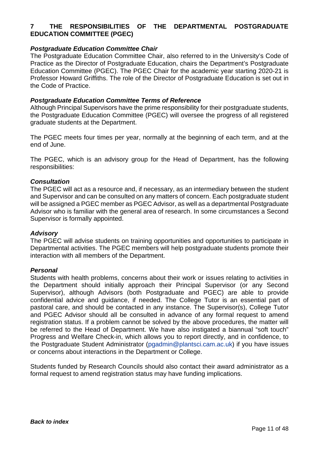#### <span id="page-11-0"></span>**7 THE RESPONSIBILITIES OF THE DEPARTMENTAL POSTGRADUATE EDUCATION COMMITTEE (PGEC)**

#### *Postgraduate Education Committee Chair*

The Postgraduate Education Committee Chair, also referred to in the University's Code of Practice as the Director of Postgraduate Education, chairs the Department's Postgraduate Education Committee (PGEC). The PGEC Chair for the academic year starting 2020-21 is Professor Howard Griffiths. The role of the Director of Postgraduate Education is set out in the Code of Practice.

#### *Postgraduate Education Committee Terms of Reference*

Although Principal Supervisors have the prime responsibility for their postgraduate students, the Postgraduate Education Committee (PGEC) will oversee the progress of all registered graduate students at the Department.

The PGEC meets four times per year, normally at the beginning of each term, and at the end of June.

The PGEC, which is an advisory group for the Head of Department, has the following responsibilities:

#### *Consultation*

The PGEC will act as a resource and, if necessary, as an intermediary between the student and Supervisor and can be consulted on any matters of concern. Each postgraduate student will be assigned a PGEC member as PGEC Advisor, as well as a departmental Postgraduate Advisor who is familiar with the general area of research. In some circumstances a Second Supervisor is formally appointed.

#### *Advisory*

The PGEC will advise students on training opportunities and opportunities to participate in Departmental activities. The PGEC members will help postgraduate students promote their interaction with all members of the Department.

#### *Personal*

Students with health problems, concerns about their work or issues relating to activities in the Department should initially approach their Principal Supervisor (or any Second Supervisor), although Advisors (both Postgraduate and PGEC) are able to provide confidential advice and guidance, if needed. The College Tutor is an essential part of pastoral care, and should be contacted in any instance. The Supervisor(s), College Tutor and PGEC Advisor should all be consulted in advance of any formal request to amend registration status. If a problem cannot be solved by the above procedures, the matter will be referred to the Head of Department. We have also instigated a biannual "soft touch" Progress and Welfare Check-in, which allows you to report directly, and in confidence, to the Postgraduate Student Administrator [\(pgadmin@plantsci.cam.ac.uk\)](mailto:pgadmin@plantsci.cam.ac.uk) if you have issues or concerns about interactions in the Department or College.

Students funded by Research Councils should also contact their award administrator as a formal request to amend registration status may have funding implications.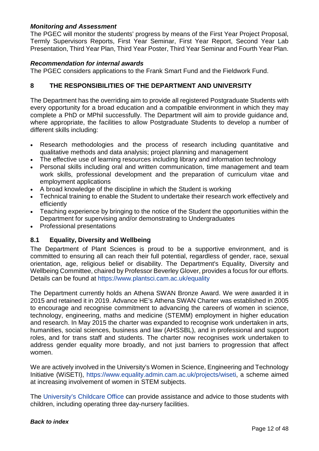#### *Monitoring and Assessment*

The PGEC will monitor the students' progress by means of the First Year Project Proposal, Termly Supervisors Reports, First Year Seminar, First Year Report, Second Year Lab Presentation, Third Year Plan, Third Year Poster, Third Year Seminar and Fourth Year Plan.

#### *Recommendation for internal awards*

The PGEC considers applications to the Frank Smart Fund and the Fieldwork Fund.

#### <span id="page-12-0"></span>**8 THE RESPONSIBILITIES OF THE DEPARTMENT AND UNIVERSITY**

The Department has the overriding aim to provide all registered Postgraduate Students with every opportunity for a broad education and a compatible environment in which they may complete a PhD or MPhil successfully. The Department will aim to provide guidance and, where appropriate, the facilities to allow Postgraduate Students to develop a number of different skills including:

- Research methodologies and the process of research including quantitative and qualitative methods and data analysis; project planning and management
- The effective use of learning resources including library and information technology
- Personal skills including oral and written communication, time management and team work skills, professional development and the preparation of curriculum vitae and employment applications
- A broad knowledge of the discipline in which the Student is working
- Technical training to enable the Student to undertake their research work effectively and efficiently
- Teaching experience by bringing to the notice of the Student the opportunities within the Department for supervising and/or demonstrating to Undergraduates
- <span id="page-12-1"></span>• Professional presentations

#### **8.1 Equality, Diversity and Wellbeing**

The Department of Plant Sciences is proud to be a supportive environment, and is committed to ensuring all can reach their full potential, regardless of gender, race, sexual orientation, age, religious belief or disability. The Department's Equality, Diversity and Wellbeing Committee, chaired by Professor Beverley Glover, provides a focus for our efforts. Details can be found at<https://www.plantsci.cam.ac.uk/equality>

The Department currently holds an Athena SWAN Bronze Award. We were awarded it in 2015 and retained it in 2019. Advance HE's Athena SWAN Charter was established in 2005 to encourage and recognise commitment to advancing the careers of women in science, technology, engineering, maths and medicine (STEMM) employment in higher education and research. In May 2015 the charter was expanded to recognise work undertaken in arts, humanities, social sciences, business and law (AHSSBL), and in professional and support roles, and for trans staff and students. The charter now recognises work undertaken to address gender equality more broadly, and not just barriers to progression that affect women.

We are actively involved in the University's Women in Science, Engineering and Technology Initiative (WiSETI), [https://www.equality.admin.cam.ac.uk/projects/wiseti,](https://www.equality.admin.cam.ac.uk/projects/wiseti) a scheme aimed at increasing involvement of women in STEM subjects.

The [University's Childcare Office](https://www.childcare.admin.cam.ac.uk/) can provide assistance and advice to those students with children, including operating three day-nursery facilities.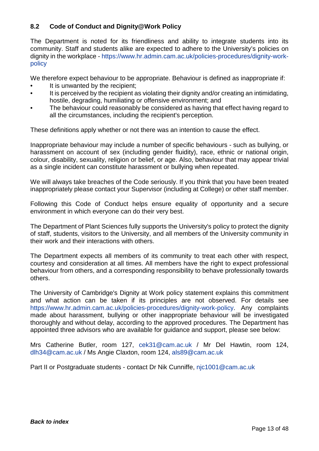#### <span id="page-13-0"></span>**8.2 Code of Conduct and Dignity@Work Policy**

The Department is noted for its friendliness and ability to integrate students into its community. Staff and students alike are expected to adhere to the University's policies on dignity in the workplace - [https://www.hr.admin.cam.ac.uk/policies-procedures/dignity-work](https://www.hr.admin.cam.ac.uk/policies-procedures/dignity-work-policy)[policy](https://www.hr.admin.cam.ac.uk/policies-procedures/dignity-work-policy)

We therefore expect behaviour to be appropriate. Behaviour is defined as inappropriate if:

- It is unwanted by the recipient;
- It is perceived by the recipient as violating their dignity and/or creating an intimidating. hostile, degrading, humiliating or offensive environment; and
- The behaviour could reasonably be considered as having that effect having regard to all the circumstances, including the recipient's perception.

These definitions apply whether or not there was an intention to cause the effect.

Inappropriate behaviour may include a number of specific behaviours - such as bullying, or harassment on account of sex (including gender fluidity), race, ethnic or national origin, colour, disability, sexuality, religion or belief, or age. Also, behaviour that may appear trivial as a single incident can constitute harassment or bullying when repeated.

We will always take breaches of the Code seriously. If you think that you have been treated inappropriately please contact your Supervisor (including at College) or other staff member.

Following this Code of Conduct helps ensure equality of opportunity and a secure environment in which everyone can do their very best.

The Department of Plant Sciences fully supports the University's policy to protect the dignity of staff, students, visitors to the University, and all members of the University community in their work and their interactions with others.

The Department expects all members of its community to treat each other with respect, courtesy and consideration at all times. All members have the right to expect professional behaviour from others, and a corresponding responsibility to behave professionally towards others.

The University of Cambridge's Dignity at Work policy statement explains this commitment and what action can be taken if its principles are not observed. For details see [https://www.hr.admin.cam.ac.uk/policies-procedures/dignity-work-policy.](https://www.hr.admin.cam.ac.uk/policies-procedures/dignity-work-policy) Any complaints made about harassment, bullying or other inappropriate behaviour will be investigated thoroughly and without delay, according to the approved procedures. The Department has appointed three advisors who are available for guidance and support, please see below:

Mrs Catherine Butler, room 127, [cek31@cam.ac.uk](mailto:cek31@cam.ac.uk) / Mr Del Hawtin, room 124, [dlh34@cam.ac.uk](mailto:dlh34@cam.ac.uk) / Ms Angie Claxton, room 124, [als89@cam.ac.uk](mailto:als89@cam.ac.uk)

Part II or Postgraduate students - contact Dr Nik Cunniffe, [njc1001@cam.ac.uk](mailto:njc1001@cam.ac.uk)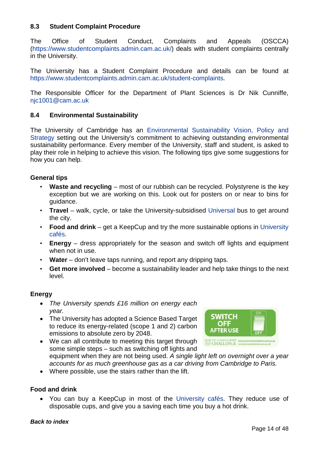#### <span id="page-14-0"></span>**8.3 Student Complaint Procedure**

The Office of Student Conduct, Complaints and Appeals (OSCCA) [\(https://www.studentcomplaints.admin.cam.ac.uk/\)](https://www.studentcomplaints.admin.cam.ac.uk/) deals with student complaints centrally in the University.

The University has a Student Complaint Procedure and details can be found at [https://www.studentcomplaints.admin.cam.ac.uk/student-complaints.](https://www.studentcomplaints.admin.cam.ac.uk/student-complaints)

The Responsible Officer for the Department of Plant Sciences is Dr Nik Cunniffe, [njc1001@cam.ac.uk](mailto:njc1001@cam.ac.uk)

#### <span id="page-14-1"></span>**8.4 Environmental Sustainability**

The University of Cambridge has an [Environmental Sustainability Vision, Policy and](http://www.environment.admin.cam.ac.uk/environmental-sustainability-vision-policy-and-strategy)  [Strategy](http://www.environment.admin.cam.ac.uk/environmental-sustainability-vision-policy-and-strategy) setting out the University's commitment to achieving outstanding environmental sustainability performance. Every member of the University, staff and student, is asked to play their role in helping to achieve this vision. The following tips give some suggestions for how you can help.

#### **General tips**

- **Waste and recycling** most of our rubbish can be recycled. Polystyrene is the key exception but we are working on this. Look out for posters on or near to bins for guidance.
- **Travel** walk, cycle, or take the University-subsidised [Universal](http://www.environment.admin.cam.ac.uk/what-are-we-doing/travel/catch-bus) bus to get around the city.
- **Food and drink**  get a KeepCup and try the more sustainable options in [University](https://www.unicen.cam.ac.uk/)  [cafés.](https://www.unicen.cam.ac.uk/)
- **Energy** dress appropriately for the season and switch off lights and equipment when not in use.
- **Water** don't leave taps running, and report any dripping taps.
- **Get more involved**  become a sustainability leader and help take things to the next level.

#### **Energy**

- *The University spends £16 million on energy each year.*
- The University has adopted a Science Based Target to reduce its energy-related (scope 1 and 2) carbon emissions to absolute zero by 2048.



• We can all contribute to meeting this target through some simple steps – such as switching off lights and

equipment when they are not being used. *A single light left on overnight over a year accounts for as much greenhouse gas as a car driving from Cambridge to Paris.*

• Where possible, use the stairs rather than the lift.

#### **Food and drink**

• You can buy a KeepCup in most of the [University cafés.](https://www.unicen.cam.ac.uk/) They reduce use of disposable cups, and give you a saving each time you buy a hot drink.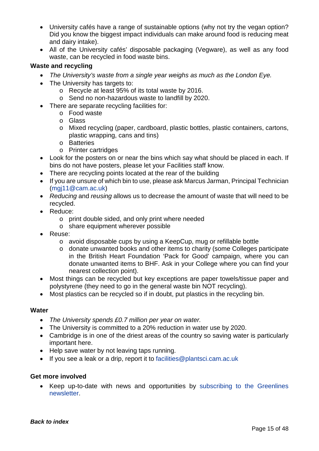- University cafés have a range of sustainable options (why not try the vegan option? Did you know the biggest impact individuals can make around food is reducing meat and dairy intake).
- All of the University cafés' disposable packaging (Vegware), as well as any food waste, can be recycled in food waste bins.

#### **Waste and recycling**

- *The University's waste from a single year weighs as much as the London Eye.*
- The University has targets to:
	- o Recycle at least 95% of its total waste by 2016.
	- o Send no non-hazardous waste to landfill by 2020.
- There are separate recycling facilities for:
	- o Food waste
	- o Glass
	- o Mixed recycling (paper, cardboard, plastic bottles, plastic containers, cartons, plastic wrapping, cans and tins)
	- o Batteries
	- o Printer cartridges
- Look for the posters on or near the bins which say what should be placed in each. If bins do not have posters, please let your Facilities staff know.
- There are recycling points located at the rear of the building
- If you are unsure of which bin to use, please ask Marcus Jarman, Principal Technician [\(mgj11@cam.ac.uk\)](mailto:mgj11@cam.ac.uk)
- *Reducing* and *reusing* allows us to decrease the amount of waste that will need to be recycled.
- Reduce:
	- o print double sided, and only print where needed
	- o share equipment wherever possible
- Reuse:
	- o avoid disposable cups by using a KeepCup, mug or refillable bottle
	- o donate unwanted books and other items to charity (some Colleges participate in the British Heart Foundation 'Pack for Good' campaign, where you can donate unwanted items to BHF. Ask in your College where you can find your nearest collection point).
- Most things can be recycled but key exceptions are paper towels/tissue paper and polystyrene (they need to go in the general waste bin NOT recycling).
- Most plastics can be recycled so if in doubt, put plastics in the recycling bin.

#### **Water**

- *The University spends £0.7 million per year on water.*
- The University is committed to a 20% reduction in water use by 2020.
- Cambridge is in one of the driest areas of the country so saving water is particularly important here.
- Help save water by not leaving taps running.
- If you see a leak or a drip, report it to [facilities@plantsci.cam.ac.uk](mailto:facilities@plantsci.cam.ac.uk)

#### **Get more involved**

• Keep up-to-date with news and opportunities by [subscribing to the Greenlines](http://cam.us11.list-manage.com/subscribe?u=6c4d3a5230c68371276fd7dbf&id=bc63bb930e)  [newsletter.](http://cam.us11.list-manage.com/subscribe?u=6c4d3a5230c68371276fd7dbf&id=bc63bb930e)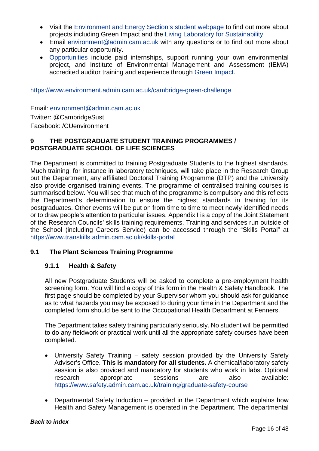- Visit the [Environment and Energy Section's student webpage](http://www.environment.admin.cam.ac.uk/students) to find out more about projects including Green Impact and the [Living Laboratory for Sustainability.](http://www.environment.admin.cam.ac.uk/living-lab)
- Email [environment@admin.cam.ac.uk](mailto:environment@admin.cam.ac.uk) with any questions or to find out more about any particular opportunity.
- [Opportunities](https://www.environment.admin.cam.ac.uk/students) include paid internships, support running your own environmental project, and Institute of Environmental Management and Assessment (IEMA) accredited auditor training and experience through [Green Impact.](https://www.environment.admin.cam.ac.uk/green-impact)

<https://www.environment.admin.cam.ac.uk/cambridge-green-challenge>

Email: [environment@admin.cam.ac.uk](mailto:environment@admin.cam.ac.uk) Twitter: @CambridgeSust Facebook: /CUenvironment

#### <span id="page-16-0"></span>**9 THE POSTGRADUATE STUDENT TRAINING PROGRAMMES / POSTGRADUATE SCHOOL OF LIFE SCIENCES**

The Department is committed to training Postgraduate Students to the highest standards. Much training, for instance in laboratory techniques, will take place in the Research Group but the Department, any affiliated Doctoral Training Programme (DTP) and the University also provide organised training events. The programme of centralised training courses is summarised below. You will see that much of the programme is compulsory and this reflects the Department's determination to ensure the highest standards in training for its postgraduates. Other events will be put on from time to time to meet newly identified needs or to draw people's attention to particular issues. Appendix I is a copy of the Joint Statement of the Research Councils' skills training requirements. Training and services run outside of the School (including Careers Service) can be accessed through the "Skills Portal" at <https://www.transkills.admin.cam.ac.uk/skills-portal>

#### <span id="page-16-2"></span><span id="page-16-1"></span>**9.1 The Plant Sciences Training Programme**

#### **9.1.1 Health & Safety**

All new Postgraduate Students will be asked to complete a pre-employment health screening form. You will find a copy of this form in the Health & Safety Handbook. The first page should be completed by your Supervisor whom you should ask for guidance as to what hazards you may be exposed to during your time in the Department and the completed form should be sent to the Occupational Health Department at Fenners.

The Department takes safety training particularly seriously. No student will be permitted to do any fieldwork or practical work until all the appropriate safety courses have been completed.

- University Safety Training safety session provided by the University Safety Adviser's Office. **This is mandatory for all students.** A chemical/laboratory safety session is also provided and mandatory for students who work in labs. Optional research appropriate sessions are also available: <https://www.safety.admin.cam.ac.uk/training/graduate-safety-course>
- Departmental Safety Induction provided in the Department which explains how Health and Safety Management is operated in the Department. The departmental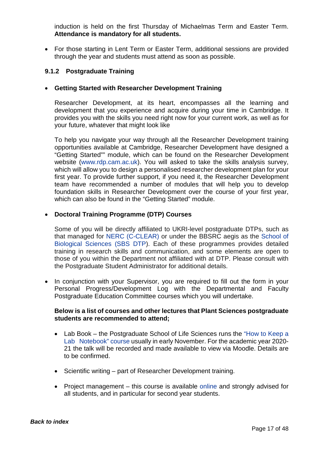induction is held on the first Thursday of Michaelmas Term and Easter Term. **Attendance is mandatory for all students.**

• For those starting in Lent Term or Easter Term, additional sessions are provided through the year and students must attend as soon as possible.

#### <span id="page-17-0"></span>**9.1.2 Postgraduate Training**

#### • **Getting Started with Researcher Development Training**

Researcher Development, at its heart, encompasses all the learning and development that you experience and acquire during your time in Cambridge. It provides you with the skills you need right now for your current work, as well as for your future, whatever that might look like

To help you navigate your way through all the Researcher Development training opportunities available at Cambridge, Researcher Development have designed a "Getting Started"" module, which can be found on the Researcher Development website [\(www.rdp.cam.ac.uk\)](http://www.rdp.cam.ac.uk/). You will asked to take the skills analysis survey, which will allow you to design a personalised researcher development plan for your first year. To provide further support, if you need it, the Researcher Development team have recommended a number of modules that will help you to develop foundation skills in Researcher Development over the course of your first year, which can also be found in the "Getting Started" module.

#### • **Doctoral Training Programme (DTP) Courses**

Some of you will be directly affiliated to UKRI-level postgraduate DTPs, such as that managed for [NERC \(C-CLEAR\)](https://nercdtp.esc.cam.ac.uk/) or under the BBSRC aegis as the [School of](https://bbsrcdtp.lifesci.cam.ac.uk/programme-description/sbs-dtp-studentships)  [Biological Sciences \(SBS DTP\)](https://bbsrcdtp.lifesci.cam.ac.uk/programme-description/sbs-dtp-studentships). Each of these programmes provides detailed training in research skills and communication, and some elements are open to those of you within the Department not affiliated with at DTP. Please consult with the Postgraduate Student Administrator for additional details.

• In conjunction with your Supervisor, you are required to fill out the form in your Personal Progress/Development Log with the Departmental and Faculty Postgraduate Education Committee courses which you will undertake.

#### **Below is a list of courses and other lectures that Plant Sciences postgraduate students are recommended to attend;**

- Lab Book the Postgraduate School of Life Sciences runs the "How to Keep a [Lab Notebook"](https://www.training.cam.ac.uk/course/gsls-labbook) course usually in early November. For the academic year 2020- 21 the talk will be recorded and made available to view via Moodle. Details are to be confirmed.
- Scientific writing part of Researcher Development training.
- Project management this course is available [online](https://training.cam.ac.uk/gdp/event/3089928) and strongly advised for all students, and in particular for second year students.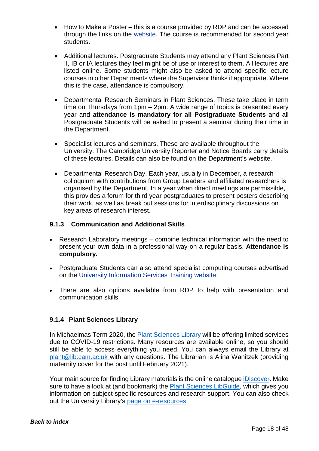- How to Make a Poster this is a course provided by RDP and can be accessed through the links on the [website.](https://training.cam.ac.uk/gdp/course/STEM-posters) The course is recommended for second year students.
- Additional lectures. Postgraduate Students may attend any Plant Sciences Part II, IB or IA lectures they feel might be of use or interest to them. All lectures are listed [online.](http://www.plantsci.cam.ac.uk/teaching/timetables) Some students might also be asked to attend specific lecture courses in other Departments where the Supervisor thinks it appropriate. Where this is the case, attendance is compulsory.
- Departmental Research Seminars in Plant Sciences. These take place in term time on Thursdays from 1pm – 2pm. A wide range of topics is presented every year and **attendance is mandatory for all Postgraduate Students** and all Postgraduate Students will be asked to present a seminar during their time in the Department.
- Specialist lectures and seminars. These are available throughout the University. The Cambridge University Reporter and Notice Boards carry details of these lectures. Details can also be found on the Department's website.
- Departmental Research Day. Each year, usually in December, a research colloquium with contributions from Group Leaders and affiliated researchers is organised by the Department. In a year when direct meetings are permissible, this provides a forum for third year postgraduates to present posters describing their work, as well as break out sessions for interdisciplinary discussions on key areas of research interest.

#### <span id="page-18-0"></span>**9.1.3 Communication and Additional Skills**

- Research Laboratory meetings combine technical information with the need to present your own data in a professional way on a regular basis. **Attendance is compulsory.**
- Postgraduate Students can also attend specialist computing courses advertised on the [University Information Services Training website.](https://training.cam.ac.uk/ucs/)
- There are also options available from RDP to help with presentation and communication skills.

#### <span id="page-18-1"></span>**9.1.4 Plant Sciences Library**

In Michaelmas Term 2020, the [Plant Sciences Library](https://www.plantsci.cam.ac.uk/library) will be offering limited services due to COVID-19 restrictions. Many resources are available online, so you should still be able to access everything you need. You can always email the Library at [plant@lib.cam.ac.uk](mailto:plant@lib.cam.ac.uk) with any questions. The Librarian is Alina Wanitzek (providing maternity cover for the post until February 2021).

Your main source for finding Library materials is the online catalogue [iDiscover.](https://idiscover.lib.cam.ac.uk/) Make sure to have a look at (and bookmark) the [Plant Sciences LibGuide,](https://libguides.cam.ac.uk/plantsciences) which gives you information on subject-specific resources and research support. You can also check out the University Library's [page on e-resources.](https://www.libraries.cam.ac.uk/eresources)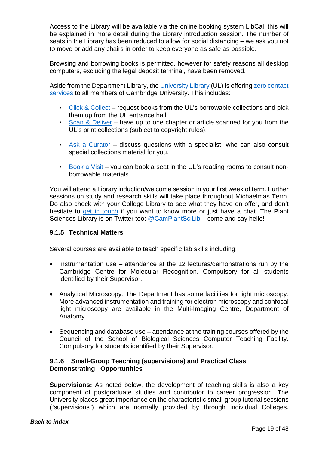Access to the Library will be available via the online booking system LibCal, this will be explained in more detail during the Library introduction session. The number of seats in the Library has been reduced to allow for social distancing – we ask you not to move or add any chairs in order to keep everyone as safe as possible.

Browsing and borrowing books is permitted, however for safety reasons all desktop computers, excluding the legal deposit terminal, have been removed.

Aside from the Department Library, the [University Library](https://www.lib.cam.ac.uk/contact) (UL) is offering [zero contact](https://www.lib.cam.ac.uk/search-and-find/zero-contact-servicesusing-reading-rooms)  [services](https://www.lib.cam.ac.uk/search-and-find/zero-contact-servicesusing-reading-rooms) to all members of Cambridge University. This includes:

- [Click & Collect](https://www.lib.cam.ac.uk/search-and-find/zero-contact-servicesusing-reading-rooms/click-collect) request books from the UL's borrowable collections and pick them up from the UL entrance hall.
- [Scan & Deliver](https://www.lib.cam.ac.uk/search-and-find/zero-contact-servicesusing-reading-rooms/scan-deliver) have up to one chapter or article scanned for you from the UL's print collections (subject to copyright rules).
- [Ask a Curator](https://www.lib.cam.ac.uk/search-and-find/zero-contact-services/ask-curator) discuss questions with a specialist, who can also consult special collections material for you.
- [Book a Visit](https://www.lib.cam.ac.uk/using-library/book-a-visit) you can book a seat in the UL's reading rooms to consult nonborrowable materials.

You will attend a Library induction/welcome session in your first week of term. Further sessions on study and research skills will take place throughout Michaelmas Term. Do also check with your College Library to see what they have on offer, and don't hesitate to [get in touch](mailto:plant@lib.cam.ac.uk) if you want to know more or just have a chat. The Plant Sciences Library is on Twitter too: [@CamPlantSciLib](https://twitter.com/CamPlantSciLib) – come and say hello!

#### <span id="page-19-0"></span>**9.1.5 Technical Matters**

Several courses are available to teach specific lab skills including:

- Instrumentation use attendance at the 12 lectures/demonstrations run by the Cambridge Centre for Molecular Recognition. Compulsory for all students identified by their Supervisor.
- Analytical Microscopy. The Department has some facilities for light microscopy. More advanced instrumentation and training for electron microscopy and confocal light microscopy are available in the Multi-Imaging Centre, Department of Anatomy.
- Sequencing and database use attendance at the training courses offered by the Council of the School of Biological Sciences Computer Teaching Facility. Compulsory for students identified by their Supervisor.

#### <span id="page-19-1"></span>**9.1.6 Small-Group Teaching (supervisions) and Practical Class Demonstrating Opportunities**

**Supervisions:** As noted below, the development of teaching skills is also a key component of postgraduate studies and contributor to career progression. The University places great importance on the characteristic small-group tutorial sessions ("supervisions") which are normally provided by through individual Colleges.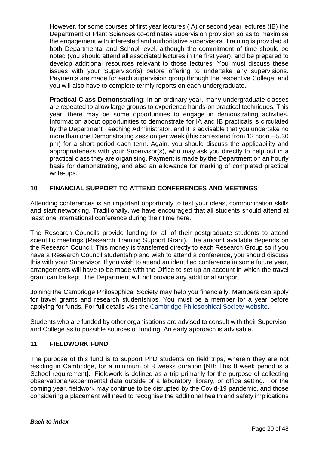However, for some courses of first year lectures (IA) or second year lectures (IB) the Department of Plant Sciences co-ordinates supervision provision so as to maximise the engagement with interested and authoritative supervisors. Training is provided at both Departmental and School level, although the commitment of time should be noted (you should attend all associated lectures in the first year), and be prepared to develop additional resources relevant to those lectures. You must discuss these issues with your Supervisor(s) before offering to undertake any supervisions. Payments are made for each supervision group through the respective College, and you will also have to complete termly reports on each undergraduate.

**Practical Class Demonstrating**: In an ordinary year, many undergraduate classes are repeated to allow large groups to experience hands-on practical techniques. This year, there may be some opportunities to engage in demonstrating activities. Information about opportunities to demonstrate for IA and IB practicals is circulated by the Department Teaching Administrator, and it is advisable that you undertake no more than one Demonstrating session per week (this can extend from 12 noon – 5.30 pm) for a short period each term. Again, you should discuss the applicability and appropriateness with your Supervisor(s), who may ask you directly to help out in a practical class they are organising. Payment is made by the Department on an hourly basis for demonstrating, and also an allowance for marking of completed practical write-ups.

#### <span id="page-20-0"></span>**10 FINANCIAL SUPPORT TO ATTEND CONFERENCES AND MEETINGS**

Attending conferences is an important opportunity to test your ideas, communication skills and start networking. Traditionally, we have encouraged that all students should attend at least one international conference during their time here.

The Research Councils provide funding for all of their postgraduate students to attend scientific meetings (Research Training Support Grant). The amount available depends on the Research Council. This money is transferred directly to each Research Group so if you have a Research Council studentship and wish to attend a conference, you should discuss this with your Supervisor. If you wish to attend an identified conference in some future year, arrangements will have to be made with the Office to set up an account in which the travel grant can be kept. The Department will not provide any additional support.

Joining the Cambridge Philosophical Society may help you financially. Members can apply for travel grants and research studentships. You must be a member for a year before applying for funds. For full details visit the [Cambridge Philosophical Society website.](https://www.cambridgephilosophicalsociety.org/)

Students who are funded by other organisations are advised to consult with their Supervisor and College as to possible sources of funding. An early approach is advisable.

#### <span id="page-20-1"></span>**11 FIELDWORK FUND**

The purpose of this fund is to support PhD students on field trips, wherein they are not residing in Cambridge, for a minimum of 8 weeks duration [NB: This 8 week period is a School requirement]. Fieldwork is defined as a trip primarily for the purpose of collecting observational/experimental data outside of a laboratory, library, or office setting. For the coming year, fieldwork may continue to be disrupted by the Covid-19 pandemic, and those considering a placement will need to recognise the additional health and safety implications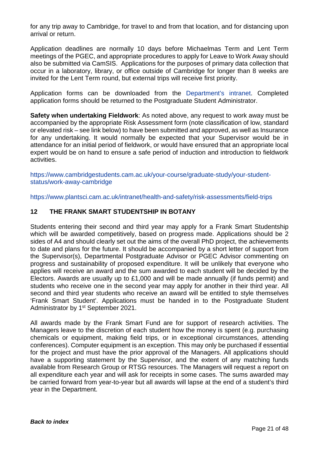for any trip away to Cambridge, for travel to and from that location, and for distancing upon arrival or return.

Application deadlines are normally 10 days before Michaelmas Term and Lent Term meetings of the PGEC, and appropriate procedures to apply for Leave to Work Away should also be submitted via CamSIS. Applications for the purposes of primary data collection that occur in a laboratory, library, or office outside of Cambridge for longer than 8 weeks are invited for the Lent Term round, but external trips will receive first priority.

Application forms can be downloaded from the [Department's intranet.](https://www.plantsci.cam.ac.uk/grads/current/fieldwork) Completed application forms should be returned to the Postgraduate Student Administrator.

**Safety when undertaking Fieldwork**: As noted above, any request to work away must be accompanied by the appropriate Risk Assessment form (note classification of low, standard or elevated risk – see link below) to have been submitted and approved, as well as Insurance for any undertaking. It would normally be expected that your Supervisor would be in attendance for an initial period of fieldwork, or would have ensured that an appropriate local expert would be on hand to ensure a safe period of induction and introduction to fieldwork activities.

[https://www.cambridgestudents.cam.ac.uk/your-course/graduate-study/your-student](https://www.cambridgestudents.cam.ac.uk/your-course/graduate-study/your-student-status/work-away-cambridge)[status/work-away-cambridge](https://www.cambridgestudents.cam.ac.uk/your-course/graduate-study/your-student-status/work-away-cambridge)

https://www.plantsci.cam.ac.uk/intranet/health-and-safety/risk-assessments/field-trips

#### <span id="page-21-0"></span>**12 THE FRANK SMART STUDENTSHIP IN BOTANY**

Students entering their second and third year may apply for a Frank Smart Studentship which will be awarded competitively, based on progress made. Applications should be 2 sides of A4 and should clearly set out the aims of the overall PhD project, the achievements to date and plans for the future. It should be accompanied by a short letter of support from the Supervisor(s), Departmental Postgraduate Advisor or PGEC Advisor commenting on progress and sustainability of proposed expenditure. It will be unlikely that everyone who applies will receive an award and the sum awarded to each student will be decided by the Electors. Awards are usually up to £1,000 and will be made annually (if funds permit) and students who receive one in the second year may apply for another in their third year. All second and third year students who receive an award will be entitled to style themselves 'Frank Smart Student'. Applications must be handed in to the Postgraduate Student Administrator by 1<sup>st</sup> September 2021.

All awards made by the Frank Smart Fund are for support of research activities. The Managers leave to the discretion of each student how the money is spent (e.g. purchasing chemicals or equipment, making field trips, or in exceptional circumstances, attending conferences). Computer equipment is an exception. This may only be purchased if essential for the project and must have the prior approval of the Managers. All applications should have a supporting statement by the Supervisor, and the extent of any matching funds available from Research Group or RTSG resources. The Managers will request a report on all expenditure each year and will ask for receipts in some cases. The sums awarded may be carried forward from year-to-year but all awards will lapse at the end of a student's third year in the Department.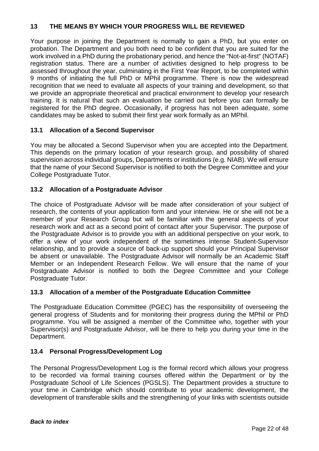#### <span id="page-22-0"></span>**13 THE MEANS BY WHICH YOUR PROGRESS WILL BE REVIEWED**

Your purpose in joining the Department is normally to gain a PhD, but you enter on probation. The Department and you both need to be confident that you are suited for the work involved in a PhD during the probationary period, and hence the "Not-at-first" (NOTAF) registration status. There are a number of activities designed to help progress to be assessed throughout the year, culminating in the First Year Report, to be completed within 9 months of initiating the full PhD or MPhil programme. There is now the widespread recognition that we need to evaluate all aspects of your training and development, so that we provide an appropriate theoretical and practical environment to develop your research training. It is natural that such an evaluation be carried out before you can formally be registered for the PhD degree. Occasionally, if progress has not been adequate, some candidates may be asked to submit their first year work formally as an MPhil.

#### <span id="page-22-1"></span>**13.1 Allocation of a Second Supervisor**

You may be allocated a Second Supervisor when you are accepted into the Department. This depends on the primary location of your research group, and possibility of shared supervision across individual groups, Departments or institutions (e.g. NIAB). We will ensure that the name of your Second Supervisor is notified to both the Degree Committee and your College Postgraduate Tutor.

#### <span id="page-22-2"></span>**13.2 Allocation of a Postgraduate Advisor**

The choice of Postgraduate Advisor will be made after consideration of your subject of research, the contents of your application form and your interview. He or she will not be a member of your Research Group but will be familiar with the general aspects of your research work and act as a second point of contact after your Supervisor. The purpose of the Postgraduate Advisor is to provide you with an additional perspective on your work, to offer a view of your work independent of the sometimes intense Student-Supervisor relationship, and to provide a source of back-up support should your Principal Supervisor be absent or unavailable. The Postgraduate Advisor will normally be an Academic Staff Member or an Independent Research Fellow. We will ensure that the name of your Postgraduate Advisor is notified to both the Degree Committee and your College Postgraduate Tutor.

#### <span id="page-22-3"></span>**13.3 Allocation of a member of the Postgraduate Education Committee**

The Postgraduate Education Committee (PGEC) has the responsibility of overseeing the general progress of Students and for monitoring their progress during the MPhil or PhD programme. You will be assigned a member of the Committee who, together with your Supervisor(s) and Postgraduate Advisor, will be there to help you during your time in the Department.

#### <span id="page-22-4"></span>**13.4 Personal Progress/Development Log**

The Personal Progress/Development Log is the formal record which allows your progress to be recorded via formal training courses offered within the Department or by the Postgraduate School of Life Sciences (PGSLS). The Department provides a structure to your time in Cambridge which should contribute to your academic development, the development of transferable skills and the strengthening of your links with scientists outside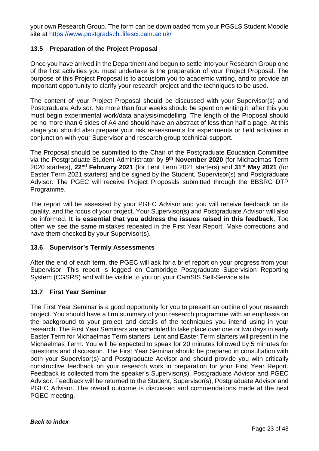your own Research Group. The form can be downloaded from your PGSLS Student Moodle site at https://www.postgradschl.lifesci.cam.ac.uk/

#### <span id="page-23-0"></span>**13.5 Preparation of the Project Proposal**

Once you have arrived in the Department and begun to settle into your Research Group one of the first activities you must undertake is the preparation of your Project Proposal. The purpose of this Project Proposal is to accustom you to academic writing, and to provide an important opportunity to clarify your research project and the techniques to be used.

The content of your Project Proposal should be discussed with your Supervisor(s) and Postgraduate Advisor. No more than four weeks should be spent on writing it; after this you must begin experimental work/data analysis/modelling. The length of the Proposal should be no more than 6 sides of A4 and should have an abstract of less than half a page. At this stage you should also prepare your risk assessments for experiments or field activities in conjunction with your Supervisor and research group technical support.

The Proposal should be submitted to the Chair of the Postgraduate Education Committee via the Postgraduate Student Administrator by **9th November 2020** (for Michaelmas Term 2020 starters), **22nd February 2021** (for Lent Term 2021 starters) and **31st May 2021** (for Easter Term 2021 starters) and be signed by the Student, Supervisor(s) and Postgraduate Advisor. The PGEC will receive Project Proposals submitted through the BBSRC DTP Programme.

The report will be assessed by your PGEC Advisor and you will receive feedback on its quality, and the focus of your project. Your Supervisor(s) and Postgraduate Advisor will also be informed. **It is essential that you address the issues raised in this feedback.** Too often we see the same mistakes repeated in the First Year Report. Make corrections and have them checked by your Supervisor(s).

#### <span id="page-23-1"></span>**13.6 Supervisor's Termly Assessments**

After the end of each term, the PGEC will ask for a brief report on your progress from your Supervisor. This report is logged on Cambridge Postgraduate Supervision Reporting System (CGSRS) and will be visible to you on your CamSIS Self-Service site.

#### <span id="page-23-2"></span>**13.7 First Year Seminar**

The First Year Seminar is a good opportunity for you to present an outline of your research project. You should have a firm summary of your research programme with an emphasis on the background to your project and details of the techniques you intend using in your research. The First Year Seminars are scheduled to take place over one or two days in early Easter Term for Michaelmas Term starters. Lent and Easter Term starters will present in the Michaelmas Term. You will be expected to speak for 20 minutes followed by 5 minutes for questions and discussion. The First Year Seminar should be prepared in consultation with both your Supervisor(s) and Postgraduate Advisor and should provide you with critically constructive feedback on your research work in preparation for your First Year Report. Feedback is collected from the speaker's Supervisor(s), Postgraduate Advisor and PGEC Advisor. Feedback will be returned to the Student, Supervisor(s), Postgraduate Advisor and PGEC Advisor. The overall outcome is discussed and commendations made at the next PGEC meeting.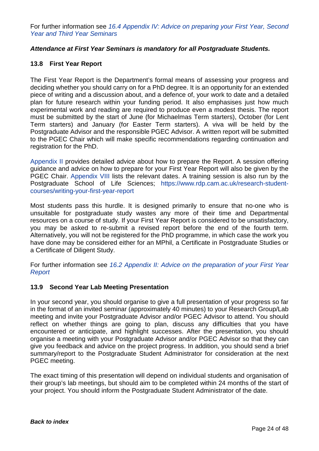For further information see *[16.4 Appendix IV: Advice on preparing your First Year, Second](#page-34-0)  [Year and Third Year Seminars](#page-34-0)*

#### *Attendance at First Year Seminars is mandatory for all Postgraduate Students.*

#### <span id="page-24-0"></span>**13.8 First Year Report**

The First Year Report is the Department's formal means of assessing your progress and deciding whether you should carry on for a PhD degree. It is an opportunity for an extended piece of writing and a discussion about, and a defence of, your work to date and a detailed plan for future research within your funding period. It also emphasises just how much experimental work and reading are required to produce even a modest thesis. The report must be submitted by the start of June (for Michaelmas Term starters), October (for Lent Term starters) and January (for Easter Term starters). A viva will be held by the Postgraduate Advisor and the responsible PGEC Advisor. A written report will be submitted to the PGEC Chair which will make specific recommendations regarding continuation and registration for the PhD.

[Appendix II](#page-30-0) provides detailed advice about how to prepare the Report. A session offering guidance and advice on how to prepare for your First Year Report will also be given by the PGEC Chair. [Appendix VIII](#page-42-0) lists the relevant dates. A training session is also run by the Postgraduate School of Life Sciences; [https://www.rdp.cam.ac.uk/research-student](https://www.rdp.cam.ac.uk/research-student-courses/writing-your-first-year-report)[courses/writing-your-first-year-report](https://www.rdp.cam.ac.uk/research-student-courses/writing-your-first-year-report)

Most students pass this hurdle. It is designed primarily to ensure that no-one who is unsuitable for postgraduate study wastes any more of their time and Departmental resources on a course of study. If your First Year Report is considered to be unsatisfactory, you may be asked to re-submit a revised report before the end of the fourth term. Alternatively, you will not be registered for the PhD programme, in which case the work you have done may be considered either for an MPhil, a Certificate in Postgraduate Studies or a Certificate of Diligent Study.

For further information see *16.2 [Appendix II: Advice on the preparation of your First Year](#page-30-0)  [Report](#page-30-0)*

#### <span id="page-24-1"></span>**13.9 Second Year Lab Meeting Presentation**

In your second year, you should organise to give a full presentation of your progress so far in the format of an invited seminar (approximately 40 minutes) to your Research Group/Lab meeting and invite your Postgraduate Advisor and/or PGEC Advisor to attend. You should reflect on whether things are going to plan, discuss any difficulties that you have encountered or anticipate, and highlight successes. After the presentation, you should organise a meeting with your Postgraduate Advisor and/or PGEC Advisor so that they can give you feedback and advice on the project progress. In addition, you should send a brief summary/report to the Postgraduate Student Administrator for consideration at the next PGEC meeting.

The exact timing of this presentation will depend on individual students and organisation of their group's lab meetings, but should aim to be completed within 24 months of the start of your project. You should inform the Postgraduate Student Administrator of the date.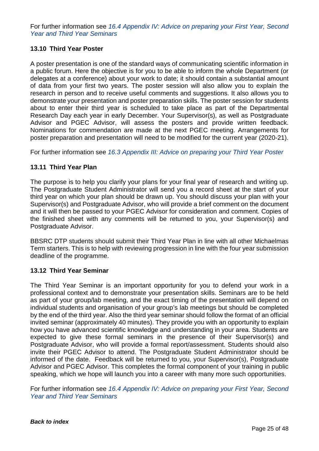For further information see *[16.4 Appendix IV: Advice on preparing your First Year, Second](#page-34-0)  [Year and Third Year Seminars](#page-34-0)*

#### <span id="page-25-0"></span>**13.10 Third Year Poster**

A poster presentation is one of the standard ways of communicating scientific information in a public forum. Here the objective is for you to be able to inform the whole Department (or delegates at a conference) about your work to date; it should contain a substantial amount of data from your first two years. The poster session will also allow you to explain the research in person and to receive useful comments and suggestions. It also allows you to demonstrate your presentation and poster preparation skills. The poster session for students about to enter their third year is scheduled to take place as part of the Departmental Research Day each year in early December. Your Supervisor(s), as well as Postgraduate Advisor and PGEC Advisor, will assess the posters and provide written feedback. Nominations for commendation are made at the next PGEC meeting. Arrangements for poster preparation and presentation will need to be modified for the current year (2020-21).

For further information see *[16.3 Appendix III: Advice on preparing your Third Year Poster](#page-32-0)*

#### <span id="page-25-1"></span>**13.11 Third Year Plan**

The purpose is to help you clarify your plans for your final year of research and writing up. The Postgraduate Student Administrator will send you a record sheet at the start of your third year on which your plan should be drawn up. You should discuss your plan with your Supervisor(s) and Postgraduate Advisor, who will provide a brief comment on the document and it will then be passed to your PGEC Advisor for consideration and comment. Copies of the finished sheet with any comments will be returned to you, your Supervisor(s) and Postgraduate Advisor.

BBSRC DTP students should submit their Third Year Plan in line with all other Michaelmas Term starters. This is to help with reviewing progression in line with the four year submission deadline of the programme.

#### <span id="page-25-2"></span>**13.12 Third Year Seminar**

The Third Year Seminar is an important opportunity for you to defend your work in a professional context and to demonstrate your presentation skills. Seminars are to be held as part of your group/lab meeting, and the exact timing of the presentation will depend on individual students and organisation of your group's lab meetings but should be completed by the end of the third year. Also the third year seminar should follow the format of an official invited seminar (approximately 40 minutes). They provide you with an opportunity to explain how you have advanced scientific knowledge and understanding in your area. Students are expected to give these formal seminars in the presence of their Supervisor(s) and Postgraduate Advisor, who will provide a formal report/assessment. Students should also invite their PGEC Advisor to attend. The Postgraduate Student Administrator should be informed of the date. Feedback will be returned to you, your Supervisor(s), Postgraduate Advisor and PGEC Advisor. This completes the formal component of your training in public speaking, which we hope will launch you into a career with many more such opportunities.

For further information see *[16.4 Appendix IV: Advice on preparing](#page-34-0) your First Year, Second [Year and Third Year Seminars](#page-34-0)*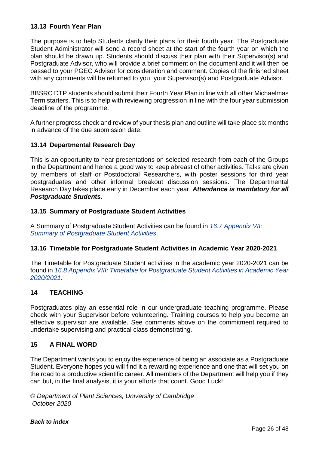#### <span id="page-26-0"></span>**13.13 Fourth Year Plan**

The purpose is to help Students clarify their plans for their fourth year. The Postgraduate Student Administrator will send a record sheet at the start of the fourth year on which the plan should be drawn up. Students should discuss their plan with their Supervisor(s) and Postgraduate Advisor, who will provide a brief comment on the document and it will then be passed to your PGEC Advisor for consideration and comment. Copies of the finished sheet with any comments will be returned to you, your Supervisor(s) and Postgraduate Advisor.

BBSRC DTP students should submit their Fourth Year Plan in line with all other Michaelmas Term starters. This is to help with reviewing progression in line with the four year submission deadline of the programme.

A further progress check and review of your thesis plan and outline will take place six months in advance of the due submission date.

#### <span id="page-26-1"></span>**13.14 Departmental Research Day**

This is an opportunity to hear presentations on selected research from each of the Groups in the Department and hence a good way to keep abreast of other activities. Talks are given by members of staff or Postdoctoral Researchers, with poster sessions for third year postgraduates and other informal breakout discussion sessions. The Departmental Research Day takes place early in December each year. *Attendance is mandatory for all Postgraduate Students.*

#### <span id="page-26-2"></span>**13.15 Summary of Postgraduate Student Activities**

A Summary of Postgraduate Student Activities can be found in *[16.7 Appendix VII:](#page-40-0)  [Summary of Postgraduate Student Activities](#page-40-0)*.

#### <span id="page-26-3"></span>**13.16 Timetable for Postgraduate Student Activities in Academic Year 2020-2021**

The Timetable for Postgraduate Student activities in the academic year 2020-2021 can be found in *[16.8 Appendix VIII: Timetable for Postgraduate Student Activities in Academic Year](#page-42-0)  [2020/2021](#page-42-0)*.

#### <span id="page-26-4"></span>**14 TEACHING**

Postgraduates play an essential role in our undergraduate teaching programme. Please check with your Supervisor before volunteering. Training courses to help you become an effective supervisor are available. See comments above on the commitment required to undertake supervising and practical class demonstrating.

#### <span id="page-26-5"></span>**15 A FINAL WORD**

The Department wants you to enjoy the experience of being an associate as a Postgraduate Student. Everyone hopes you will find it a rewarding experience and one that will set you on the road to a productive scientific career. All members of the Department will help you if they can but, in the final analysis, it is your efforts that count. Good Luck!

*© Department of Plant Sciences, University of Cambridge October 2020*

*[Back to index](#page-1-0)*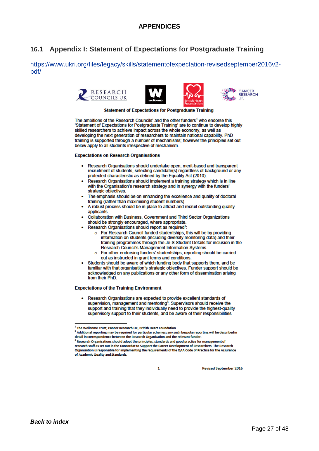### <span id="page-27-0"></span>**16.1 Appendix I: Statement of Expectations for Postgraduate Training**

https://www.ukri.org/files/legacy/skills/statementofexpectation-revisedseptember2016v2 pdf/









**Statement of Expectations for Postgraduate Training** 

The ambitions of the Research Councils' and the other funders<sup>1</sup> who endorse this 'Statement of Expectations for Postgraduate Training' are to continue to develop highly skilled researchers to achieve impact across the whole economy, as well as developing the next generation of researchers to maintain national capability. PhD training is supported through a number of mechanisms; however the principles set out below apply to all students irrespective of mechanism.

**Expectations on Research Organisations** 

- Research Organisations should undertake open, merit-based and transparent recruitment of students, selecting candidate(s) regardless of background or any protected characteristic as defined by the Equality Act (2010).
- Research Organisations should implement a training strategy which is in line with the Organisation's research strategy and in synergy with the funders' strategic objectives.
- . The emphasis should be on enhancing the excellence and quality of doctoral training (rather than maximising student numbers).
- A robust process should be in place to attract and recruit outstanding quality applicants.
- Collaboration with Business, Government and Third Sector Organizations should be strongly encouraged, where appropriate.
- Research Organisations should report as required<sup>2</sup>:
	- o For Research Council-funded studentships, this will be by providing information on students (including diversity monitoring data) and their training programmes through the Je-S Student Details for inclusion in the Research Council's Management Information Systems.
	- For other endorsing funders' studentships, reporting should be carried  $\circ$ out as instructed in grant terms and conditions.
- Students should be aware of which funding body that supports them, and be familiar with that organisation's strategic objectives. Funder support should be acknowledged on any publications or any other form of dissemination arising from their PhD.

#### **Expectations of the Training Environment**

Research Organisations are expected to provide excellent standards of supervision, management and mentoring<sup>3</sup>. Supervisors should receive the support and training that they individually need to provide the highest-quality supervisory support to their students, and be aware of their responsibilities

**Revised September 2016** 

<sup>&</sup>lt;sup>1</sup> The Wellcome Trust, Cancer Research UK, British Heart Foundation

<sup>&</sup>lt;sup>2</sup> Additional reporting may be required for particular schemes; any such bespoke reporting will be described in detail in correspondence between the Research Organisation and the relevant funder.

<sup>&</sup>lt;sup>3</sup> Research Organisations should adopt the principles, standards and good practice for management of research staff as set out in the Concordat to Support the Career Development of Researchers. The Research Organisation is responsible for implementing the requirements of the QAA Code of Practice for the Assurance of Academic Quality and Standards.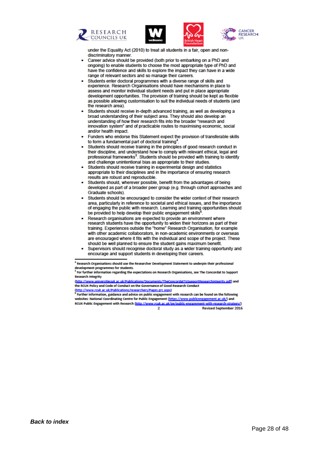







under the Equality Act (2010) to treat all students in a fair, open and nondiscriminatory manner.

- Career advice should be provided (both prior to embarking on a PhD and ongoing) to enable students to choose the most appropriate type of PhD and have the confidence and skills to explore the impact they can have in a wide range of relevant sectors and so manage their careers.
- Students enter doctoral programmes with a diverse range of skills and experience. Research Organisations should have mechanisms in place to assess and monitor individual student needs and put in place appropriate development opportunities. The provision of training should be kept as flexible as possible allowing customisation to suit the individual needs of students (and the research area)
- Students should receive in-depth advanced training, as well as developing a broad understanding of their subject area. They should also develop an understanding of how their research fits into the broader "research and innovation system" and of practicable routes to maximising economic, social and/or health impact.
- Funders who endorse this Statement expect the provision of transferable skills to form a fundamental part of doctoral training<sup>4</sup>
- Students should receive training in the principles of good research conduct in their discipline, and understand how to comply with relevant ethical, legal and professional frameworks<sup>5</sup>. Students should be provided with training to identify and challenge unintentional bias as appropriate to their studies.
- Students should receive training in experimental design and statistics appropriate to their disciplines and in the importance of ensuring research results are robust and reproducible.
- Students should, wherever possible, benefit from the advantages of being developed as part of a broader peer group (e.g. through cohort approaches and Graduate schools).
- Students should be encouraged to consider the wider context of their research area, particularly in reference to societal and ethical issues, and the importance of engaging the public with research. Learning and training opportunities should be provided to help develop their public engagement skills<sup>6</sup>
- Research organisations are expected to provide an environment where research students have the opportunity to widen their horizons as part of their training. Experiences outside the "home" Research Organisation, for example with other academic collaborators, in non-academic environments or overseas are encouraged where it fits with the individual and scope of the project. These should be well planned to ensure the student gains maximum benefit.
- Supervisors should recognise doctoral study as a wider training opportunity and encourage and support students in developing their careers.

<sup>&</sup>lt;sup>4</sup> Research Organisations should use the Researcher Development Statement to underpin their professional development programmes for students.

<sup>&</sup>lt;sup>5</sup> For further information regarding the expectations on Research Organisations, see The Concordat to Support **Research Integrity** 

sitiesuk.ac.uk/Publications/Documents/TheConcordatToSupportResearchInteerity.pdf) and (http://www.un the RCUK Policy and Code of Conduct on the Governance of Good Research Conduct (http://www.rcuk.ac.uk/Publications/researchers/Pages.grc.aspx)

Further information, guidance and advice on public engagement with research can be found on the following websites: National Coordinating Centre for Public Engagement (https://www.publicengagement.ac.uk/) and RCUK Public Engagement with Research (http://www.rcuk.ac.uk/pe/public-engagement-with-research-strategy/)  $\overline{2}$ **Revised September 2016**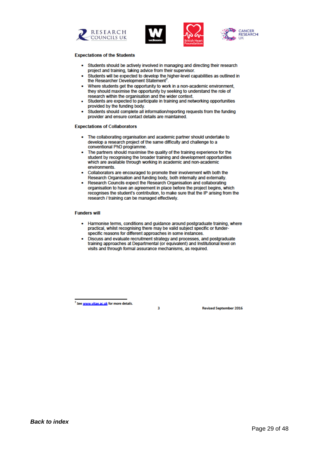







#### **Expectations of the Students**

- Students should be actively involved in managing and directing their research project and training, taking advice from their supervisor.
- Students will be expected to develop the higher-level capabilities as outlined in the Researcher Development Statement<sup>7</sup>.
- . Where students get the opportunity to work in a non-academic environment. they should maximise the opportunity by seeking to understand the role of research within the organisation and the wider context.
- Students are expected to participate in training and networking opportunities provided by the funding body.
- Students should complete all information/reporting requests from the funding provider and ensure contact details are maintained.

#### **Expectations of Collaborators**

- The collaborating organisation and academic partner should undertake to develop a research project of the same difficulty and challenge to a conventional PhD programme.
- The partners should maximise the quality of the training experience for the student by recognising the broader training and development opportunities which are available through working in academic and non-academic environments.
- Collaborators are encouraged to promote their involvement with both the Research Organisation and funding body, both internally and externally.
- Research Councils expect the Research Organisation and collaborating organisation to have an agreement in place before the project begins, which recognises the student's contribution, to make sure that the IP arising from the research / training can be managed effectively.

#### **Funders will**

- Harmonise terms, conditions and guidance around postgraduate training, where practical, whilst recognising there may be valid subject specific or funderspecific reasons for different approaches in some instances.
- Discuss and evaluate recruitment strategy and processes, and postgraduate training approaches at Departmental (or equivalent) and Institutional level on visits and through formal assurance mechanisms, as required.

ä

<sup>7</sup> See www.vitae.ac.uk for more details.

**Revised September 2016**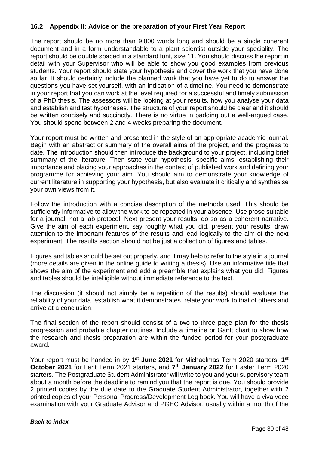#### <span id="page-30-0"></span>**16.2 Appendix II: Advice on the preparation of your First Year Report**

The report should be no more than 9,000 words long and should be a single coherent document and in a form understandable to a plant scientist outside your speciality. The report should be double spaced in a standard font, size 11. You should discuss the report in detail with your Supervisor who will be able to show you good examples from previous students. Your report should state your hypothesis and cover the work that you have done so far. It should certainly include the planned work that you have yet to do to answer the questions you have set yourself, with an indication of a timeline. You need to demonstrate in your report that you can work at the level required for a successful and timely submission of a PhD thesis. The assessors will be looking at your results, how you analyse your data and establish and test hypotheses. The structure of your report should be clear and it should be written concisely and succinctly. There is no virtue in padding out a well-argued case. You should spend between 2 and 4 weeks preparing the document.

Your report must be written and presented in the style of an appropriate academic journal. Begin with an abstract or summary of the overall aims of the project, and the progress to date. The introduction should then introduce the background to your project, including brief summary of the literature. Then state your hypothesis, specific aims, establishing their importance and placing your approaches in the context of published work and defining your programme for achieving your aim. You should aim to demonstrate your knowledge of current literature in supporting your hypothesis, but also evaluate it critically and synthesise your own views from it.

Follow the introduction with a concise description of the methods used. This should be sufficiently informative to allow the work to be repeated in your absence. Use prose suitable for a journal, not a lab protocol. Next present your results; do so as a coherent narrative. Give the aim of each experiment, say roughly what you did, present your results, draw attention to the important features of the results and lead logically to the aim of the next experiment. The results section should not be just a collection of figures and tables.

Figures and tables should be set out properly, and it may help to refer to the style in a journal (more details are given in the online guide to writing a thesis). Use an informative title that shows the aim of the experiment and add a preamble that explains what you did. Figures and tables should be intelligible without immediate reference to the text.

The discussion (it should not simply be a repetition of the results) should evaluate the reliability of your data, establish what it demonstrates, relate your work to that of others and arrive at a conclusion.

The final section of the report should consist of a two to three page plan for the thesis progression and probable chapter outlines. Include a timeline or Gantt chart to show how the research and thesis preparation are within the funded period for your postgraduate award.

Your report must be handed in by **1st June 2021** for Michaelmas Term 2020 starters, **1st October 2021** for Lent Term 2021 starters, and **7th January 2022** for Easter Term 2020 starters. The Postgraduate Student Administrator will write to you and your supervisory team about a month before the deadline to remind you that the report is due. You should provide 2 printed copies by the due date to the Graduate Student Administrator, together with 2 printed copies of your Personal Progress/Development Log book. You will have a viva voce examination with your Graduate Advisor and PGEC Advisor, usually within a month of the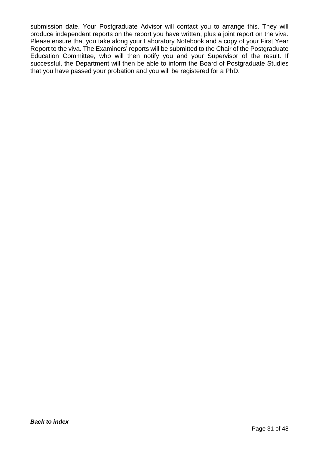submission date. Your Postgraduate Advisor will contact you to arrange this. They will produce independent reports on the report you have written, plus a joint report on the viva. Please ensure that you take along your Laboratory Notebook and a copy of your First Year Report to the viva. The Examiners' reports will be submitted to the Chair of the Postgraduate Education Committee, who will then notify you and your Supervisor of the result. If successful, the Department will then be able to inform the Board of Postgraduate Studies that you have passed your probation and you will be registered for a PhD.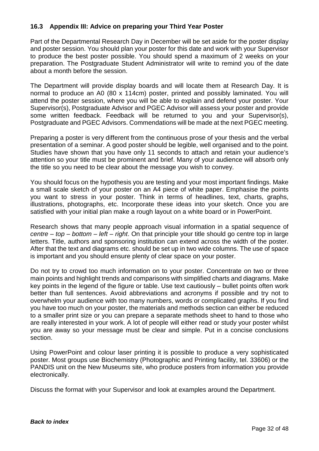#### <span id="page-32-0"></span>**16.3 Appendix III: Advice on preparing your Third Year Poster**

Part of the Departmental Research Day in December will be set aside for the poster display and poster session. You should plan your poster for this date and work with your Supervisor to produce the best poster possible. You should spend a maximum of 2 weeks on your preparation. The Postgraduate Student Administrator will write to remind you of the date about a month before the session.

The Department will provide display boards and will locate them at Research Day. It is normal to produce an A0 (80 x 114cm) poster, printed and possibly laminated. You will attend the poster session, where you will be able to explain and defend your poster. Your Supervisor(s), Postgraduate Advisor and PGEC Advisor will assess your poster and provide some written feedback. Feedback will be returned to you and your Supervisor(s), Postgraduate and PGEC Advisors. Commendations will be made at the next PGEC meeting.

Preparing a poster is very different from the continuous prose of your thesis and the verbal presentation of a seminar. A good poster should be legible, well organised and to the point. Studies have shown that you have only 11 seconds to attach and retain your audience's attention so your title must be prominent and brief. Many of your audience will absorb only the title so you need to be clear about the message you wish to convey.

You should focus on the hypothesis you are testing and your most important findings. Make a small scale sketch of your poster on an A4 piece of white paper. Emphasise the points you want to stress in your poster. Think in terms of headlines, text, charts, graphs, illustrations, photographs, etc. Incorporate these ideas into your sketch. Once you are satisfied with your initial plan make a rough layout on a white board or in PowerPoint.

Research shows that many people approach visual information in a spatial sequence of *centre – top – bottom – left – right*. On that principle your title should go centre top in large letters. Title, authors and sponsoring institution can extend across the width of the poster. After that the text and diagrams etc. should be set up in two wide columns. The use of space is important and you should ensure plenty of clear space on your poster.

Do not try to crowd too much information on to your poster. Concentrate on two or three main points and highlight trends and comparisons with simplified charts and diagrams. Make key points in the legend of the figure or table. Use text cautiously – bullet points often work better than full sentences. Avoid abbreviations and acronyms if possible and try not to overwhelm your audience with too many numbers, words or complicated graphs. If you find you have too much on your poster, the materials and methods section can either be reduced to a smaller print size or you can prepare a separate methods sheet to hand to those who are really interested in your work. A lot of people will either read or study your poster whilst you are away so your message must be clear and simple. Put in a concise conclusions section.

Using PowerPoint and colour laser printing it is possible to produce a very sophisticated poster. Most groups use Biochemistry (Photographic and Printing facility, tel. 33606) or the PANDIS unit on the New Museums site, who produce posters from information you provide electronically.

Discuss the format with your Supervisor and look at examples around the Department.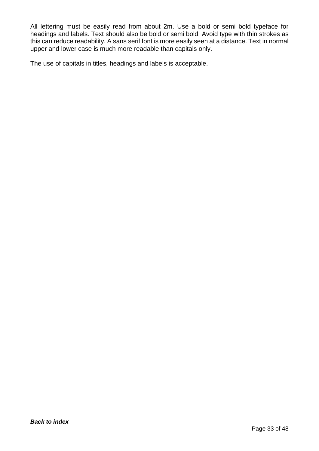All lettering must be easily read from about 2m. Use a bold or semi bold typeface for headings and labels. Text should also be bold or semi bold. Avoid type with thin strokes as this can reduce readability. A sans serif font is more easily seen at a distance. Text in normal upper and lower case is much more readable than capitals only.

The use of capitals in titles, headings and labels is acceptable.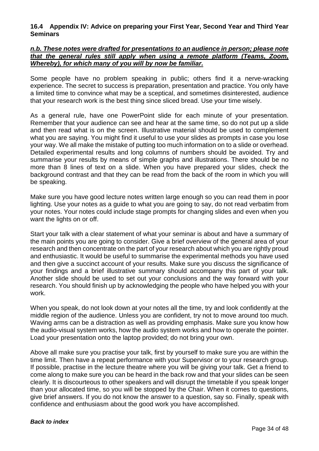#### <span id="page-34-0"></span>**16.4 Appendix IV: Advice on preparing your First Year, Second Year and Third Year Seminars**

#### *n.b. These notes were drafted for presentations to an audience in person; please note that the general rules still apply when using a remote platform (Teams, Zoom, Whereby), for which many of you will by now be familiar.*

Some people have no problem speaking in public; others find it a nerve-wracking experience. The secret to success is preparation, presentation and practice. You only have a limited time to convince what may be a sceptical, and sometimes disinterested, audience that your research work is the best thing since sliced bread. Use your time wisely.

As a general rule, have one PowerPoint slide for each minute of your presentation. Remember that your audience can see and hear at the same time, so do not put up a slide and then read what is on the screen. Illustrative material should be used to complement what you are saying. You might find it useful to use your slides as prompts in case you lose your way. We all make the mistake of putting too much information on to a slide or overhead. Detailed experimental results and long columns of numbers should be avoided. Try and summarise your results by means of simple graphs and illustrations. There should be no more than 8 lines of text on a slide. When you have prepared your slides, check the background contrast and that they can be read from the back of the room in which you will be speaking.

Make sure you have good lecture notes written large enough so you can read them in poor lighting. Use your notes as a guide to what you are going to say, do not read verbatim from your notes. Your notes could include stage prompts for changing slides and even when you want the lights on or off.

Start your talk with a clear statement of what your seminar is about and have a summary of the main points you are going to consider. Give a brief overview of the general area of your research and then concentrate on the part of your research about which you are rightly proud and enthusiastic. It would be useful to summarise the experimental methods you have used and then give a succinct account of your results. Make sure you discuss the significance of your findings and a brief illustrative summary should accompany this part of your talk. Another slide should be used to set out your conclusions and the way forward with your research. You should finish up by acknowledging the people who have helped you with your work.

When you speak, do not look down at your notes all the time, try and look confidently at the middle region of the audience. Unless you are confident, try not to move around too much. Waving arms can be a distraction as well as providing emphasis. Make sure you know how the audio-visual system works, how the audio system works and how to operate the pointer. Load your presentation onto the laptop provided; do not bring your own.

Above all make sure you practise your talk, first by yourself to make sure you are within the time limit. Then have a repeat performance with your Supervisor or to your research group. If possible, practise in the lecture theatre where you will be giving your talk. Get a friend to come along to make sure you can be heard in the back row and that your slides can be seen clearly. It is discourteous to other speakers and will disrupt the timetable if you speak longer than your allocated time, so you will be stopped by the Chair. When it comes to questions, give brief answers. If you do not know the answer to a question, say so. Finally, speak with confidence and enthusiasm about the good work you have accomplished.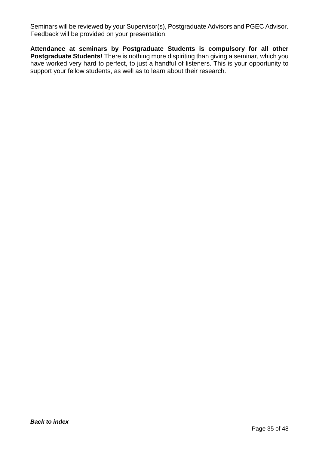Seminars will be reviewed by your Supervisor(s), Postgraduate Advisors and PGEC Advisor. Feedback will be provided on your presentation.

**Attendance at seminars by Postgraduate Students is compulsory for all other Postgraduate Students!** There is nothing more dispiriting than giving a seminar, which you have worked very hard to perfect, to just a handful of listeners. This is your opportunity to support your fellow students, as well as to learn about their research.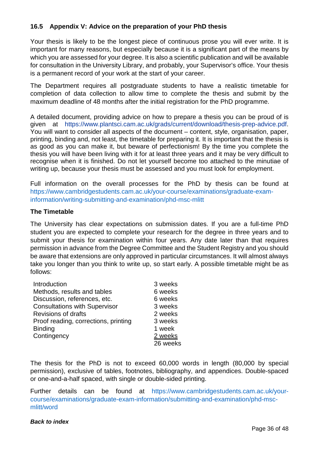#### <span id="page-36-0"></span>**16.5 Appendix V: Advice on the preparation of your PhD thesis**

Your thesis is likely to be the longest piece of continuous prose you will ever write. It is important for many reasons, but especially because it is a significant part of the means by which you are assessed for your degree. It is also a scientific publication and will be available for consultation in the University Library, and probably, your Supervisor's office. Your thesis is a permanent record of your work at the start of your career.

The Department requires all postgraduate students to have a realistic timetable for completion of data collection to allow time to complete the thesis and submit by the maximum deadline of 48 months after the initial registration for the PhD programme.

A detailed document, providing advice on how to prepare a thesis you can be proud of is given at [https://www.plantsci.cam.ac.uk/grads/current/download/thesis-prep-advice.pdf.](https://www.plantsci.cam.ac.uk/grads/current/download/dissertation-prep-advice.pdf) You will want to consider all aspects of the document – content, style, organisation, paper, printing, binding and, not least, the timetable for preparing it. It is important that the thesis is as good as you can make it, but beware of perfectionism! By the time you complete the thesis you will have been living with it for at least three years and it may be very difficult to recognise when it is finished. Do not let yourself become too attached to the minutiae of writing up, because your thesis must be assessed and you must look for employment.

Full information on the overall processes for the PhD by thesis can be found at [https://www.cambridgestudents.cam.ac.uk/your-course/examinations/graduate-exam](https://www.cambridgestudents.cam.ac.uk/your-course/examinations/graduate-exam-information/writing-submitting-and-examination/phd-msc-mlitt)[information/writing-submitting-and-examination/phd-msc-mlitt](https://www.cambridgestudents.cam.ac.uk/your-course/examinations/graduate-exam-information/writing-submitting-and-examination/phd-msc-mlitt)

#### **The Timetable**

The University has clear expectations on submission dates. If you are a full-time PhD student you are expected to complete your research for the degree in three years and to submit your thesis for examination within four years. Any date later than that requires permission in advance from the Degree Committee and the Student Registry and you should be aware that extensions are only approved in particular circumstances. It will almost always take you longer than you think to write up, so start early. A possible timetable might be as follows:

| Introduction                         | 3 weeks  |
|--------------------------------------|----------|
| Methods, results and tables          | 6 weeks  |
| Discussion, references, etc.         | 6 weeks  |
| <b>Consultations with Supervisor</b> | 3 weeks  |
| <b>Revisions of drafts</b>           | 2 weeks  |
| Proof reading, corrections, printing | 3 weeks  |
| <b>Binding</b>                       | 1 week   |
| Contingency                          | 2 weeks  |
|                                      | 26 weeks |

The thesis for the PhD is not to exceed 60,000 words in length (80,000 by special permission), exclusive of tables, footnotes, bibliography, and appendices. Double-spaced or one-and-a-half spaced, with single or double-sided printing.

Further details can be found at [https://www.cambridgestudents.cam.ac.uk/your](https://www.cambridgestudents.cam.ac.uk/your-course/examinations/graduate-exam-information/submitting-and-examination/phd-msc-mlitt/word)[course/examinations/graduate-exam-information/submitting-and-examination/phd-msc](https://www.cambridgestudents.cam.ac.uk/your-course/examinations/graduate-exam-information/submitting-and-examination/phd-msc-mlitt/word)[mlitt/word](https://www.cambridgestudents.cam.ac.uk/your-course/examinations/graduate-exam-information/submitting-and-examination/phd-msc-mlitt/word)

#### *[Back to index](#page-1-0)*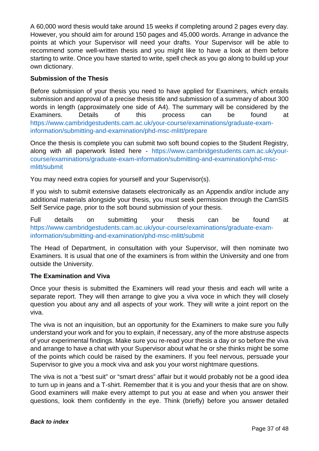A 60,000 word thesis would take around 15 weeks if completing around 2 pages every day. However, you should aim for around 150 pages and 45,000 words. Arrange in advance the points at which your Supervisor will need your drafts. Your Supervisor will be able to recommend some well-written thesis and you might like to have a look at them before starting to write. Once you have started to write, spell check as you go along to build up your own dictionary.

#### **Submission of the Thesis**

Before submission of your thesis you need to have applied for Examiners, which entails submission and approval of a precise thesis title and submission of a summary of about 300 words in length (approximately one side of A4). The summary will be considered by the Examiners. Details of this process can be found at [https://www.cambridgestudents.cam.ac.uk/your-course/examinations/graduate-exam](https://www.cambridgestudents.cam.ac.uk/your-course/examinations/graduate-exam-information/submitting-and-examination/phd-msc-mlitt/prepare)[information/submitting-and-examination/phd-msc-mlitt/prepare](https://www.cambridgestudents.cam.ac.uk/your-course/examinations/graduate-exam-information/submitting-and-examination/phd-msc-mlitt/prepare)

Once the thesis is complete you can submit two soft bound copies to the Student Registry, along with all paperwork listed here - [https://www.cambridgestudents.cam.ac.uk/your](https://www.cambridgestudents.cam.ac.uk/your-course/examinations/graduate-exam-information/submitting-and-examination/phd-msc-mlitt/submit)[course/examinations/graduate-exam-information/submitting-and-examination/phd-msc](https://www.cambridgestudents.cam.ac.uk/your-course/examinations/graduate-exam-information/submitting-and-examination/phd-msc-mlitt/submit)[mlitt/submit](https://www.cambridgestudents.cam.ac.uk/your-course/examinations/graduate-exam-information/submitting-and-examination/phd-msc-mlitt/submit)

You may need extra copies for yourself and your Supervisor(s).

If you wish to submit extensive datasets electronically as an Appendix and/or include any additional materials alongside your thesis, you must seek permission through the CamSIS Self Service page, prior to the soft bound submission of your thesis.

Full details on submitting your thesis can be found at [https://www.cambridgestudents.cam.ac.uk/your-course/examinations/graduate-exam](https://www.cambridgestudents.cam.ac.uk/your-course/examinations/graduate-exam-information/submitting-and-examination/phd-msc-mlitt/submit)[information/submitting-and-examination/phd-msc-mlitt/submit](https://www.cambridgestudents.cam.ac.uk/your-course/examinations/graduate-exam-information/submitting-and-examination/phd-msc-mlitt/submit)

The Head of Department, in consultation with your Supervisor, will then nominate two Examiners. It is usual that one of the examiners is from within the University and one from outside the University.

#### **The Examination and Viva**

Once your thesis is submitted the Examiners will read your thesis and each will write a separate report. They will then arrange to give you a viva voce in which they will closely question you about any and all aspects of your work. They will write a joint report on the viva.

The viva is not an inquisition, but an opportunity for the Examiners to make sure you fully understand your work and for you to explain, if necessary, any of the more abstruse aspects of your experimental findings. Make sure you re-read your thesis a day or so before the viva and arrange to have a chat with your Supervisor about what he or she thinks might be some of the points which could be raised by the examiners. If you feel nervous, persuade your Supervisor to give you a mock viva and ask you your worst nightmare questions.

The viva is not a "best suit" or "smart dress" affair but it would probably not be a good idea to turn up in jeans and a T-shirt. Remember that it is you and your thesis that are on show. Good examiners will make every attempt to put you at ease and when you answer their questions, look them confidently in the eye. Think (briefly) before you answer detailed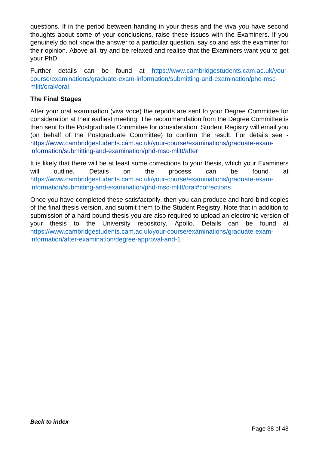questions. If in the period between handing in your thesis and the viva you have second thoughts about some of your conclusions, raise these issues with the Examiners. If you genuinely do not know the answer to a particular question, say so and ask the examiner for their opinion. Above all, try and be relaxed and realise that the Examiners want you to get your PhD.

Further details can be found at [https://www.cambridgestudents.cam.ac.uk/your](https://www.cambridgestudents.cam.ac.uk/your-course/examinations/graduate-exam-information/submitting-and-examination/phd-msc-mlitt/oral#oral)[course/examinations/graduate-exam-information/submitting-and-examination/phd-msc](https://www.cambridgestudents.cam.ac.uk/your-course/examinations/graduate-exam-information/submitting-and-examination/phd-msc-mlitt/oral#oral)[mlitt/oral#oral](https://www.cambridgestudents.cam.ac.uk/your-course/examinations/graduate-exam-information/submitting-and-examination/phd-msc-mlitt/oral#oral)

#### **The Final Stages**

After your oral examination (viva voce) the reports are sent to your Degree Committee for consideration at their earliest meeting. The recommendation from the Degree Committee is then sent to the Postgraduate Committee for consideration. Student Registry will email you (on behalf of the Postgraduate Committee) to confirm the result. For details see [https://www.cambridgestudents.cam.ac.uk/your-course/examinations/graduate-exam](https://www.cambridgestudents.cam.ac.uk/your-course/examinations/graduate-exam-information/submitting-and-examination/phd-msc-mlitt/after)[information/submitting-and-examination/phd-msc-mlitt/after](https://www.cambridgestudents.cam.ac.uk/your-course/examinations/graduate-exam-information/submitting-and-examination/phd-msc-mlitt/after)

It is likely that there will be at least some corrections to your thesis, which your Examiners will outline. Details on the process can be found at [https://www.cambridgestudents.cam.ac.uk/your-course/examinations/graduate-exam](https://www.cambridgestudents.cam.ac.uk/your-course/examinations/graduate-exam-information/submitting-and-examination/phd-msc-mlitt/oral#corrections)[information/submitting-and-examination/phd-msc-mlitt/oral#corrections](https://www.cambridgestudents.cam.ac.uk/your-course/examinations/graduate-exam-information/submitting-and-examination/phd-msc-mlitt/oral#corrections)

Once you have completed these satisfactorily, then you can produce and hard-bind copies of the final thesis version, and submit them to the Student Registry. Note that in addition to submission of a hard bound thesis you are also required to upload an electronic version of your thesis to the University repository, Apollo. Details can be found at [https://www.cambridgestudents.cam.ac.uk/your-course/examinations/graduate-exam](https://www.cambridgestudents.cam.ac.uk/your-course/examinations/graduate-exam-information/after-examination/degree-approval-and-1)[information/after-examination/degree-approval-and-1](https://www.cambridgestudents.cam.ac.uk/your-course/examinations/graduate-exam-information/after-examination/degree-approval-and-1)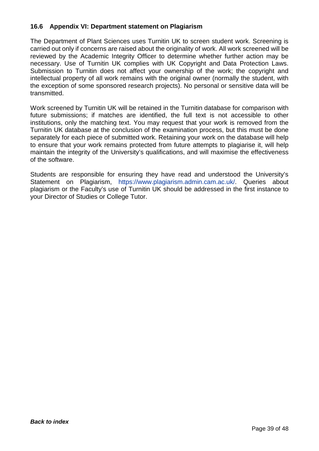#### <span id="page-39-0"></span>**16.6 Appendix VI: Department statement on Plagiarism**

The Department of Plant Sciences uses Turnitin UK to screen student work. Screening is carried out only if concerns are raised about the originality of work. All work screened will be reviewed by the Academic Integrity Officer to determine whether further action may be necessary. Use of Turnitin UK complies with UK Copyright and Data Protection Laws. Submission to Turnitin does not affect your ownership of the work; the copyright and intellectual property of all work remains with the original owner (normally the student, with the exception of some sponsored research projects). No personal or sensitive data will be transmitted.

Work screened by Turnitin UK will be retained in the Turnitin database for comparison with future submissions; if matches are identified, the full text is not accessible to other institutions, only the matching text. You may request that your work is removed from the Turnitin UK database at the conclusion of the examination process, but this must be done separately for each piece of submitted work. Retaining your work on the database will help to ensure that your work remains protected from future attempts to plagiarise it, will help maintain the integrity of the University's qualifications, and will maximise the effectiveness of the software.

Students are responsible for ensuring they have read and understood the University's Statement on Plagiarism, [https://www.plagiarism.admin.cam.ac.uk/.](https://www.plagiarism.admin.cam.ac.uk/) Queries about plagiarism or the Faculty's use of Turnitin UK should be addressed in the first instance to your Director of Studies or College Tutor.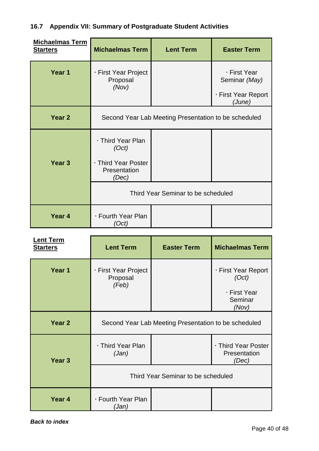## <span id="page-40-0"></span>**16.7 Appendix VII: Summary of Postgraduate Student Activities**

| <b>Michaelmas Term</b><br><b>Starters</b> | <b>Michaelmas Term</b>                                                     | <b>Lent Term</b> | <b>Easter Term</b>                                             |
|-------------------------------------------|----------------------------------------------------------------------------|------------------|----------------------------------------------------------------|
| Year 1                                    | · First Year Project<br>Proposal<br>(Nov)                                  |                  | · First Year<br>Seminar (May)<br>· First Year Report<br>(June) |
| Year 2                                    | Second Year Lab Meeting Presentation to be scheduled                       |                  |                                                                |
| Year <sub>3</sub>                         | · Third Year Plan<br>(Oct)<br>· Third Year Poster<br>Presentation<br>(Dec) |                  |                                                                |
|                                           | Third Year Seminar to be scheduled                                         |                  |                                                                |
| Year <sub>4</sub>                         | · Fourth Year Plan<br>'Oct)                                                |                  |                                                                |

| <b>Lent Term</b><br><b>Starters</b> | <b>Lent Term</b>                                     | <b>Easter Term</b> | <b>Michaelmas Term</b>                                           |
|-------------------------------------|------------------------------------------------------|--------------------|------------------------------------------------------------------|
| Year 1                              | · First Year Project<br>Proposal<br>(Feb)            |                    | · First Year Report<br>(Oct)<br>· First Year<br>Seminar<br>(Nov) |
| Year 2                              | Second Year Lab Meeting Presentation to be scheduled |                    |                                                                  |
| Year <sub>3</sub>                   | ⋅ Third Year Plan<br>(Jan)                           |                    | · Third Year Poster<br>Presentation<br>(Dec)                     |
|                                     | Third Year Seminar to be scheduled                   |                    |                                                                  |
| Year 4                              | · Fourth Year Plan<br>(Jan)                          |                    |                                                                  |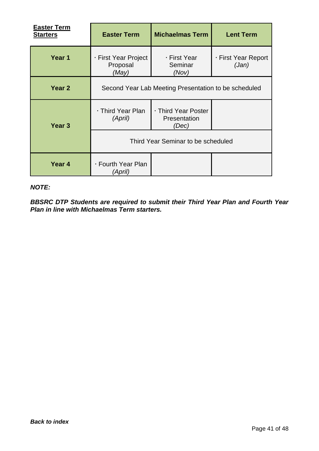| <b>Easter Term</b><br><b>Starters</b> | <b>Easter Term</b>                                   | <b>Michaelmas Term</b>                       | <b>Lent Term</b>             |
|---------------------------------------|------------------------------------------------------|----------------------------------------------|------------------------------|
| Year 1                                | · First Year Project<br>Proposal<br>(May)            | ⋅ First Year<br>Seminar<br>(Nov)             | · First Year Report<br>(Jan) |
| Year <sub>2</sub>                     | Second Year Lab Meeting Presentation to be scheduled |                                              |                              |
| Year <sub>3</sub>                     | ⋅ Third Year Plan<br>(April)                         | · Third Year Poster<br>Presentation<br>(Dec) |                              |
|                                       |                                                      | Third Year Seminar to be scheduled           |                              |
| Year 4                                | ⋅ Fourth Year Plan<br>(April)                        |                                              |                              |

#### *NOTE:*

*BBSRC DTP Students are required to submit their Third Year Plan and Fourth Year Plan in line with Michaelmas Term starters.*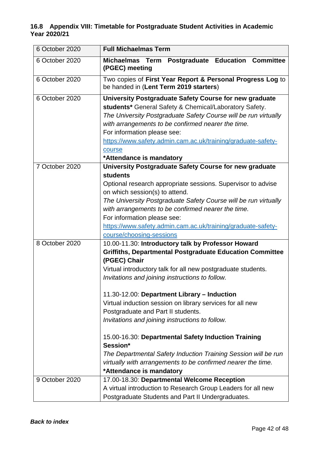#### <span id="page-42-0"></span>**16.8 Appendix VIII: Timetable for Postgraduate Student Activities in Academic Year 2020/21**

| 6 October 2020 | <b>Full Michaelmas Term</b>                                                                          |  |
|----------------|------------------------------------------------------------------------------------------------------|--|
| 6 October 2020 | Michaelmas Term Postgraduate Education Committee<br>(PGEC) meeting                                   |  |
| 6 October 2020 | Two copies of First Year Report & Personal Progress Log to<br>be handed in (Lent Term 2019 starters) |  |
| 6 October 2020 | University Postgraduate Safety Course for new graduate                                               |  |
|                | students* General Safety & Chemical/Laboratory Safety.                                               |  |
|                | The University Postgraduate Safety Course will be run virtually                                      |  |
|                | with arrangements to be confirmed nearer the time.                                                   |  |
|                | For information please see:                                                                          |  |
|                | https://www.safety.admin.cam.ac.uk/training/graduate-safety-                                         |  |
|                | course                                                                                               |  |
|                | *Attendance is mandatory                                                                             |  |
| 7 October 2020 | University Postgraduate Safety Course for new graduate                                               |  |
|                | <b>students</b>                                                                                      |  |
|                | Optional research appropriate sessions. Supervisor to advise                                         |  |
|                | on which session(s) to attend.                                                                       |  |
|                | The University Postgraduate Safety Course will be run virtually                                      |  |
|                | with arrangements to be confirmed nearer the time.                                                   |  |
|                | For information please see:                                                                          |  |
|                | https://www.safety.admin.cam.ac.uk/training/graduate-safety-                                         |  |
|                | course/choosing-sessions                                                                             |  |
| 8 October 2020 | 10.00-11.30: Introductory talk by Professor Howard                                                   |  |
|                | <b>Griffiths, Departmental Postgraduate Education Committee</b><br>(PGEC) Chair                      |  |
|                | Virtual introductory talk for all new postgraduate students.                                         |  |
|                | Invitations and joining instructions to follow.                                                      |  |
|                | 11.30-12.00: Department Library - Induction                                                          |  |
|                | Virtual induction session on library services for all new                                            |  |
|                | Postgraduate and Part II students.                                                                   |  |
|                | Invitations and joining instructions to follow.                                                      |  |
|                | 15.00-16.30: Departmental Safety Induction Training                                                  |  |
|                | Session*                                                                                             |  |
|                | The Departmental Safety Induction Training Session will be run                                       |  |
|                | virtually with arrangements to be confirmed nearer the time.                                         |  |
|                | *Attendance is mandatory                                                                             |  |
| 9 October 2020 | 17.00-18.30: Departmental Welcome Reception                                                          |  |
|                | A virtual introduction to Research Group Leaders for all new                                         |  |
|                | Postgraduate Students and Part II Undergraduates.                                                    |  |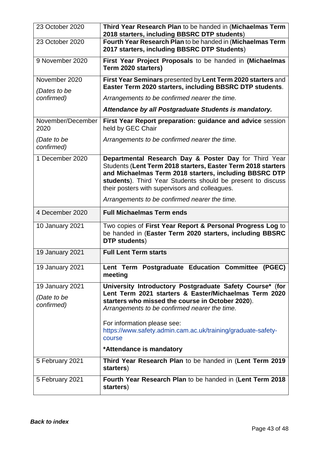| 23 October 2020                              | Third Year Research Plan to be handed in (Michaelmas Term<br>2018 starters, including BBSRC DTP students)                                                                                                                                                                                                                       |  |
|----------------------------------------------|---------------------------------------------------------------------------------------------------------------------------------------------------------------------------------------------------------------------------------------------------------------------------------------------------------------------------------|--|
| 23 October 2020                              | Fourth Year Research Plan to be handed in (Michaelmas Term<br>2017 starters, including BBSRC DTP Students)                                                                                                                                                                                                                      |  |
| 9 November 2020                              | First Year Project Proposals to be handed in (Michaelmas<br>Term 2020 starters)                                                                                                                                                                                                                                                 |  |
| November 2020<br>(Dates to be                | First Year Seminars presented by Lent Term 2020 starters and<br>Easter Term 2020 starters, including BBSRC DTP students.                                                                                                                                                                                                        |  |
| confirmed)                                   | Arrangements to be confirmed nearer the time.                                                                                                                                                                                                                                                                                   |  |
|                                              | Attendance by all Postgraduate Students is mandatory.                                                                                                                                                                                                                                                                           |  |
| November/December<br>2020                    | First Year Report preparation: guidance and advice session<br>held by GEC Chair                                                                                                                                                                                                                                                 |  |
| (Date to be<br>confirmed)                    | Arrangements to be confirmed nearer the time.                                                                                                                                                                                                                                                                                   |  |
| 1 December 2020                              | Departmental Research Day & Poster Day for Third Year<br>Students (Lent Term 2018 starters, Easter Term 2018 starters<br>and Michaelmas Term 2018 starters, including BBSRC DTP<br>students). Third Year Students should be present to discuss<br>their posters with supervisors and colleagues.                                |  |
|                                              | Arrangements to be confirmed nearer the time.                                                                                                                                                                                                                                                                                   |  |
|                                              |                                                                                                                                                                                                                                                                                                                                 |  |
| 4 December 2020                              | <b>Full Michaelmas Term ends</b>                                                                                                                                                                                                                                                                                                |  |
| 10 January 2021                              | Two copies of First Year Report & Personal Progress Log to<br>be handed in (Easter Term 2020 starters, including BBSRC<br>DTP students)                                                                                                                                                                                         |  |
| <b>19 January 2021</b>                       | <b>Full Lent Term starts</b>                                                                                                                                                                                                                                                                                                    |  |
| 19 January 2021                              | Lent Term Postgraduate Education Committee (PGEC)<br>meeting                                                                                                                                                                                                                                                                    |  |
| 19 January 2021<br>(Date to be<br>confirmed) | University Introductory Postgraduate Safety Course* (for<br>Lent Term 2021 starters & Easter/Michaelmas Term 2020<br>starters who missed the course in October 2020).<br>Arrangements to be confirmed nearer the time.<br>For information please see:<br>https://www.safety.admin.cam.ac.uk/training/graduate-safety-<br>course |  |
|                                              | *Attendance is mandatory                                                                                                                                                                                                                                                                                                        |  |
| 5 February 2021                              | Third Year Research Plan to be handed in (Lent Term 2019<br>starters)                                                                                                                                                                                                                                                           |  |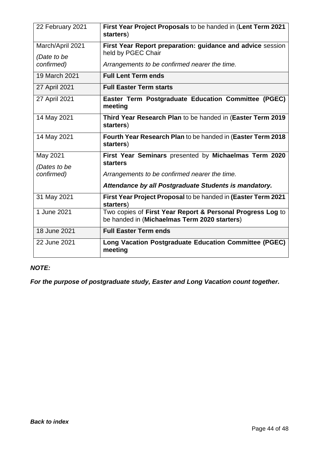| 22 February 2021         | First Year Project Proposals to be handed in (Lent Term 2021<br>starters)                                  |
|--------------------------|------------------------------------------------------------------------------------------------------------|
| March/April 2021         | First Year Report preparation: guidance and advice session                                                 |
| (Date to be              | held by PGEC Chair                                                                                         |
| confirmed)               | Arrangements to be confirmed nearer the time.                                                              |
| 19 March 2021            | <b>Full Lent Term ends</b>                                                                                 |
| 27 April 2021            | <b>Full Easter Term starts</b>                                                                             |
| 27 April 2021            | Easter Term Postgraduate Education Committee (PGEC)<br>meeting                                             |
| 14 May 2021              | Third Year Research Plan to be handed in (Easter Term 2019<br>starters)                                    |
| 14 May 2021              | Fourth Year Research Plan to be handed in (Easter Term 2018<br>starters)                                   |
| May 2021<br>(Dates to be | First Year Seminars presented by Michaelmas Term 2020<br><b>starters</b>                                   |
| confirmed)               | Arrangements to be confirmed nearer the time.                                                              |
|                          | Attendance by all Postgraduate Students is mandatory.                                                      |
| 31 May 2021              | First Year Project Proposal to be handed in (Easter Term 2021<br>starters)                                 |
| 1 June 2021              | Two copies of First Year Report & Personal Progress Log to<br>be handed in (Michaelmas Term 2020 starters) |
| 18 June 2021             | <b>Full Easter Term ends</b>                                                                               |
| 22 June 2021             | Long Vacation Postgraduate Education Committee (PGEC)<br>meeting                                           |

## *NOTE:*

*For the purpose of postgraduate study, Easter and Long Vacation count together.*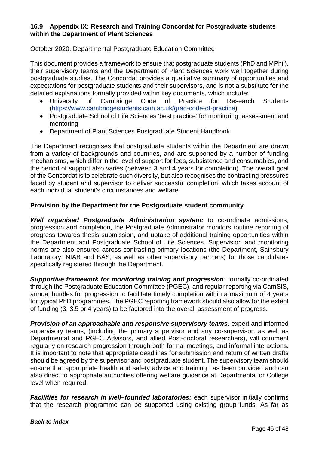#### <span id="page-45-0"></span>**16.9 Appendix IX: Research and Training Concordat for Postgraduate students within the Department of Plant Sciences**

October 2020, Departmental Postgraduate Education Committee

This document provides a framework to ensure that postgraduate students (PhD and MPhil), their supervisory teams and the Department of Plant Sciences work well together during postgraduate studies. The Concordat provides a qualitative summary of opportunities and expectations for postgraduate students and their supervisors, and is not a substitute for the detailed explanations formally provided within key documents, which include:

- University of Cambridge Code of Practice for Research Students [\(https://www.cambridgestudents.cam.ac.uk/grad-code-of-practice\)](https://www.cambridgestudents.cam.ac.uk/grad-code-of-practice),
- Postgraduate School of Life Sciences 'best practice' for monitoring, assessment and mentoring
- Department of Plant Sciences Postgraduate Student Handbook

The Department recognises that postgraduate students within the Department are drawn from a variety of backgrounds and countries, and are supported by a number of funding mechanisms, which differ in the level of support for fees, subsistence and consumables, and the period of support also varies (between 3 and 4 years for completion). The overall goal of the Concordat is to celebrate such diversity, but also recognises the contrasting pressures faced by student and supervisor to deliver successful completion, which takes account of each individual student's circumstances and welfare.

#### **Provision by the Department for the Postgraduate student community**

*Well organised Postgraduate Administration system:* to co-ordinate admissions, progression and completion, the Postgraduate Administrator monitors routine reporting of progress towards thesis submission, and uptake of additional training opportunities within the Department and Postgraduate School of Life Sciences. Supervision and monitoring norms are also ensured across contrasting primary locations (the Department, Sainsbury Laboratory, NIAB and BAS, as well as other supervisory partners) for those candidates specifically registered through the Department.

*Supportive framework for monitoring training and progression:* formally co-ordinated through the Postgraduate Education Committee (PGEC), and regular reporting via CamSIS, annual hurdles for progression to facilitate timely completion within a maximum of 4 years for typical PhD programmes. The PGEC reporting framework should also allow for the extent of funding (3, 3.5 or 4 years) to be factored into the overall assessment of progress.

*Provision of an approachable and responsive supervisory teams:* expert and informed supervisory teams, (including the primary supervisor and any co-supervisor, as well as Departmental and PGEC Advisors, and allied Post-doctoral researchers), will comment regularly on research progression through both formal meetings, and informal interactions. It is important to note that appropriate deadlines for submission and return of written drafts should be agreed by the supervisor and postgraduate student. The supervisory team should ensure that appropriate health and safety advice and training has been provided and can also direct to appropriate authorities offering welfare guidance at Departmental or College level when required.

*Facilities for research in well–founded laboratories: each supervisor initially confirms* that the research programme can be supported using existing group funds. As far as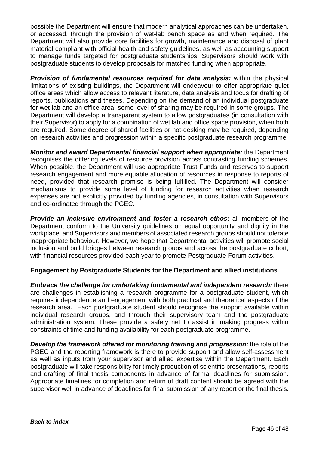possible the Department will ensure that modern analytical approaches can be undertaken, or accessed, through the provision of wet-lab bench space as and when required. The Department will also provide core facilities for growth, maintenance and disposal of plant material compliant with official health and safety guidelines, as well as accounting support to manage funds targeted for postgraduate studentships. Supervisors should work with postgraduate students to develop proposals for matched funding when appropriate.

*Provision of fundamental resources required for data analysis:* within the physical limitations of existing buildings, the Department will endeavour to offer appropriate quiet office areas which allow access to relevant literature, data analysis and focus for drafting of reports, publications and theses. Depending on the demand of an individual postgraduate for wet lab and an office area, some level of sharing may be required in some groups. The Department will develop a transparent system to allow postgraduates (in consultation with their Supervisor) to apply for a combination of wet lab and office space provision, when both are required. Some degree of shared facilities or hot-desking may be required, depending on research activities and progression within a specific postgraduate research programme.

*Monitor and award Departmental financial support when appropriate:* the Department recognises the differing levels of resource provision across contrasting funding schemes. When possible, the Department will use appropriate Trust Funds and reserves to support research engagement and more equable allocation of resources in response to reports of need, provided that research promise is being fulfilled. The Department will consider mechanisms to provide some level of funding for research activities when research expenses are not explicitly provided by funding agencies, in consultation with Supervisors and co-ordinated through the PGEC.

*Provide an inclusive environment and foster a research ethos:* all members of the Department conform to the University guidelines on equal opportunity and dignity in the workplace, and Supervisors and members of associated research groups should not tolerate inappropriate behaviour. However, we hope that Departmental activities will promote social inclusion and build bridges between research groups and across the postgraduate cohort, with financial resources provided each year to promote Postgraduate Forum activities.

#### **Engagement by Postgraduate Students for the Department and allied institutions**

*Embrace the challenge for undertaking fundamental and independent research:* there are challenges in establishing a research programme for a postgraduate student, which requires independence and engagement with both practical and theoretical aspects of the research area. Each postgraduate student should recognise the support available within individual research groups, and through their supervisory team and the postgraduate administration system. These provide a safety net to assist in making progress within constraints of time and funding availability for each postgraduate programme.

*Develop the framework offered for monitoring training and progression:* the role of the PGEC and the reporting framework is there to provide support and allow self-assessment as well as inputs from your supervisor and allied expertise within the Department. Each postgraduate will take responsibility for timely production of scientific presentations, reports and drafting of final thesis components in advance of formal deadlines for submission. Appropriate timelines for completion and return of draft content should be agreed with the supervisor well in advance of deadlines for final submission of any report or the final thesis.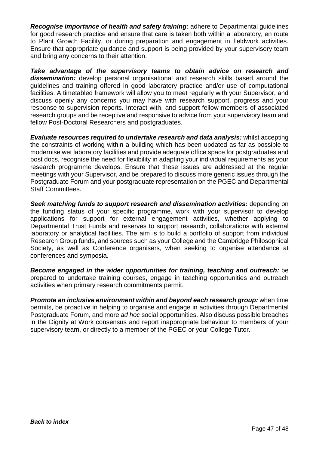*Recognise importance of health and safety training:* adhere to Departmental guidelines for good research practice and ensure that care is taken both within a laboratory, en route to Plant Growth Facility, or during preparation and engagement in fieldwork activities. Ensure that appropriate guidance and support is being provided by your supervisory team and bring any concerns to their attention.

*Take advantage of the supervisory teams to obtain advice on research and dissemination:* develop personal organisational and research skills based around the guidelines and training offered in good laboratory practice and/or use of computational facilities. A timetabled framework will allow you to meet regularly with your Supervisor, and discuss openly any concerns you may have with research support, progress and your response to supervision reports. Interact with, and support fellow members of associated research groups and be receptive and responsive to advice from your supervisory team and fellow Post-Doctoral Researchers and postgraduates.

*Evaluate resources required to undertake research and data analysis:* whilst accepting the constraints of working within a building which has been updated as far as possible to modernise wet laboratory facilities and provide adequate office space for postgraduates and post docs, recognise the need for flexibility in adapting your individual requirements as your research programme develops. Ensure that these issues are addressed at the regular meetings with your Supervisor, and be prepared to discuss more generic issues through the Postgraduate Forum and your postgraduate representation on the PGEC and Departmental Staff Committees.

*Seek matching funds to support research and dissemination activities:* depending on the funding status of your specific programme, work with your supervisor to develop applications for support for external engagement activities, whether applying to Departmental Trust Funds and reserves to support research, collaborations with external laboratory or analytical facilities. The aim is to build a portfolio of support from individual Research Group funds, and sources such as your College and the Cambridge Philosophical Society, as well as Conference organisers, when seeking to organise attendance at conferences and symposia.

*Become engaged in the wider opportunities for training, teaching and outreach:* be prepared to undertake training courses, engage in teaching opportunities and outreach activities when primary research commitments permit.

*Promote an inclusive environment within and beyond each research group:* when time permits, be proactive in helping to organise and engage in activities through Departmental Postgraduate Forum, and more *ad hoc* social opportunities. Also discuss possible breaches in the Dignity at Work consensus and report inappropriate behaviour to members of your supervisory team, or directly to a member of the PGEC or your College Tutor.